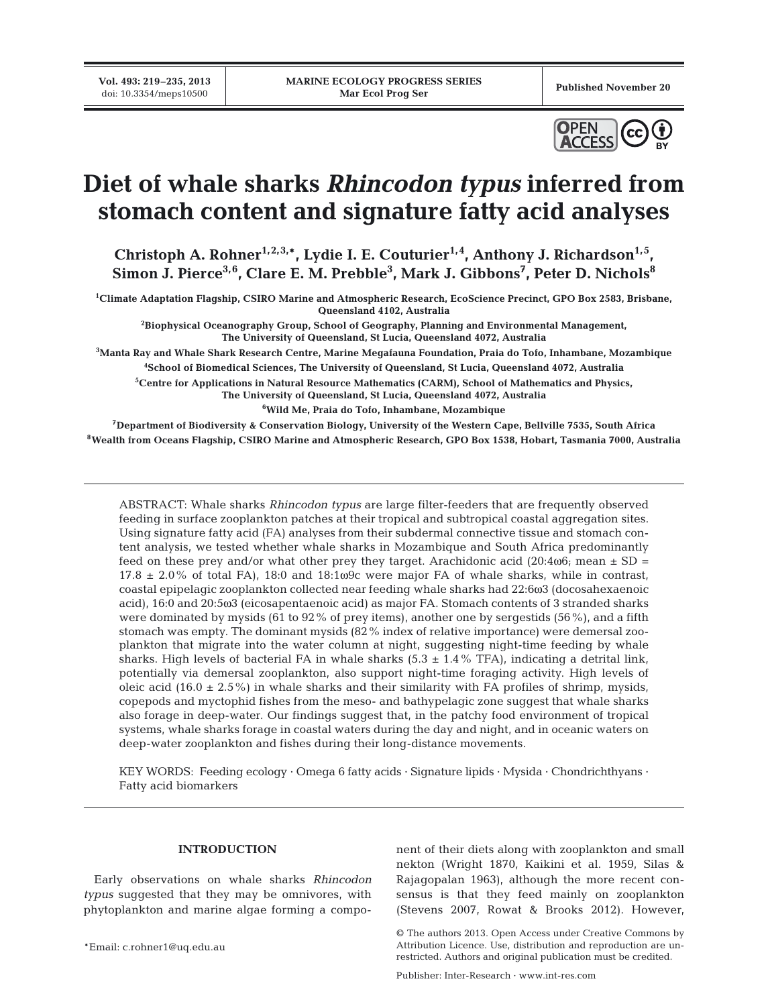**Vol. 493: 219–235, 2013**



# **Diet of whale sharks** *Rhincodon typus* **inferred from stomach content and signature fatty acid analyses**

Christoph A. Rohner<sup>1,2,3,\*</sup>, Lydie I. E. Couturier<sup>1,4</sup>, Anthony J. Richardson<sup>1,5</sup>, **Simon J. Pierce3,6, Clare E. M. Prebble3 , Mark J. Gibbons7 , Peter D. Nichols8**

**1 Climate Adaptation Flagship, CSIRO Marine and Atmospheric Research, EcoScience Precinct, GPO Box 2583, Brisbane, Queensland 4102, Australia**

**2 Biophysical Oceanography Group, School of Geography, Planning and Environmental Management, The University of Queensland, St Lucia, Queensland 4072, Australia**

**3 Manta Ray and Whale Shark Research Centre, Marine Megafauna Foundation, Praia do Tofo, Inhambane, Mozambique**

**4 School of Biomedical Sciences, The University of Queensland, St Lucia, Queensland 4072, Australia**

**5 Centre for Applications in Natural Resource Mathematics (CARM), School of Mathematics and Physics, The University of Queensland, St Lucia, Queensland 4072, Australia**

**6 Wild Me, Praia do Tofo, Inhambane, Mozambique**

**7Department of Biodiversity & Conservation Biology, University of the Western Cape, Bellville 7535, South Africa 8Wealth from Oceans Flagship, CSIRO Marine and Atmospheric Research, GPO Box 1538, Hobart, Tasmania 7000, Australia**

ABSTRACT: Whale sharks *Rhincodon typus* are large filter-feeders that are frequently observed feeding in surface zooplankton patches at their tropical and subtropical coastal aggregation sites. Using signature fatty acid (FA) analyses from their subdermal connective tissue and stomach content analysis, we tested whether whale sharks in Mozambique and South Africa predominantly feed on these prey and/or what other prey they target. Arachidonic acid  $(20:4\omega 6$ ; mean  $\pm$  SD =  $17.8 \pm 2.0\%$  of total FA), 18:0 and 18:1 $\omega$ 9c were major FA of whale sharks, while in contrast, coastal epipelagic zooplankton collected near feeding whale sharks had 22:6ω3 (docosahexaenoic acid), 16:0 and 20:5ω3 (eicosapentaenoic acid) as major FA. Stomach contents of 3 stranded sharks were dominated by mysids (61 to 92% of prey items), another one by sergestids (56%), and a fifth stomach was empty. The dominant mysids (82% index of relative importance) were demersal zooplankton that migrate into the water column at night, suggesting night-time feeding by whale sharks. High levels of bacterial FA in whale sharks  $(5.3 \pm 1.4\% \text{ TFA})$ , indicating a detrital link, potentially via demersal zooplankton, also support night-time foraging activity. High levels of oleic acid (16.0  $\pm$  2.5%) in whale sharks and their similarity with FA profiles of shrimp, mysids, copepods and myctophid fishes from the meso- and bathypelagic zone suggest that whale sharks also forage in deep-water. Our findings suggest that, in the patchy food environment of tropical systems, whale sharks forage in coastal waters during the day and night, and in oceanic waters on deep-water zooplankton and fishes during their long-distance movements.

KEY WORDS: Feeding ecology · Omega 6 fatty acids · Signature lipids · Mysida · Chondrichthyans · Fatty acid biomarkers

# **INTRODUCTION**

Early observations on whale sharks *Rhincodon typus* suggested that they may be omnivores, with phytoplankton and marine algae forming a component of their diets along with zooplankton and small nekton (Wright 1870, Kaikini et al. 1959, Silas & Rajagopalan 1963), although the more recent consensus is that they feed mainly on zooplankton (Stevens 2007, Rowat & Brooks 2012). However,

Publisher: Inter-Research · www.int-res.com

<sup>©</sup> The authors 2013. Open Access under Creative Commons by Attribution Licence. Use, distribution and reproduction are unrestricted. Authors and original publication must be credited.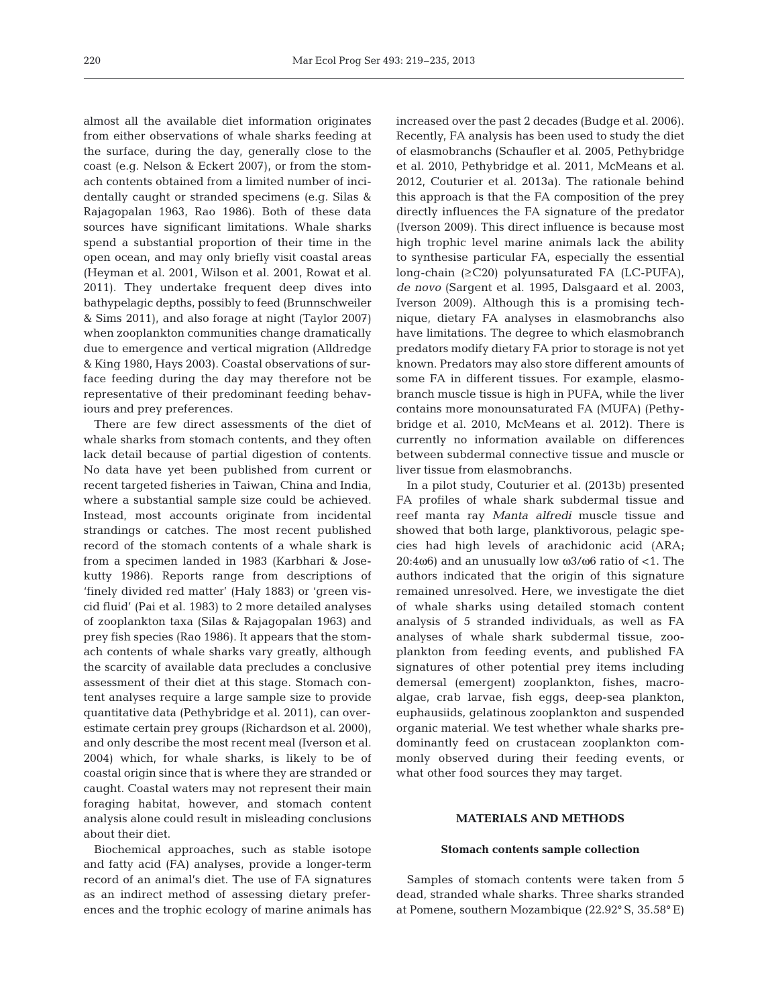almost all the available diet information originates from either observations of whale sharks feeding at the surface, during the day, generally close to the coast (e.g. Nelson & Eckert 2007), or from the stomach contents obtained from a limited number of incidentally caught or stranded specimens (e.g. Silas & Rajagopalan 1963, Rao 1986). Both of these data sources have significant limitations. Whale sharks spend a substantial proportion of their time in the open ocean, and may only briefly visit coastal areas (Heyman et al. 2001, Wilson et al. 2001, Rowat et al. 2011). They undertake frequent deep dives into bathypelagic depths, possibly to feed (Brunnschweiler & Sims 2011), and also forage at night (Taylor 2007) when zooplankton communities change dramatically due to emergence and vertical migration (Alldredge & King 1980, Hays 2003). Coastal observations of surface feeding during the day may therefore not be representative of their predominant feeding behaviours and prey preferences.

There are few direct assessments of the diet of whale sharks from stomach contents, and they often lack detail because of partial digestion of contents. No data have yet been published from current or recent targeted fisheries in Taiwan, China and India, where a substantial sample size could be achieved. Instead, most accounts originate from incidental strandings or catches. The most recent published record of the stomach contents of a whale shark is from a specimen landed in 1983 (Karbhari & Jose kutty 1986). Reports range from descriptions of 'finely divided red matter' (Haly 1883) or 'green viscid fluid' (Pai et al. 1983) to 2 more detailed analyses of zooplankton taxa (Silas & Rajagopalan 1963) and prey fish species (Rao 1986). It appears that the stomach contents of whale sharks vary greatly, although the scarcity of available data precludes a conclusive assessment of their diet at this stage. Stomach content analyses require a large sample size to provide quantitative data (Pethybridge et al. 2011), can overestimate certain prey groups (Richardson et al. 2000), and only describe the most recent meal (Iverson et al. 2004) which, for whale sharks, is likely to be of coastal origin since that is where they are stranded or caught. Coastal waters may not represent their main foraging habitat, however, and stomach content analysis alone could result in misleading conclusions about their diet.

Biochemical approaches, such as stable isotope and fatty acid (FA) analyses, provide a longer-term record of an animal's diet. The use of FA signatures as an indirect method of assessing dietary preferences and the trophic ecology of marine animals has increased over the past 2 decades (Budge et al. 2006). Recently, FA analysis has been used to study the diet of elasmobranchs (Schaufler et al. 2005, Pethybridge et al. 2010, Pethybridge et al. 2011, McMeans et al. 2012, Couturier et al. 2013a). The rationale behind this approach is that the FA composition of the prey directly influences the FA signature of the predator (Iverson 2009). This direct influence is because most high trophic level marine animals lack the ability to synthesise particular FA, especially the essential long-chain (≥C20) polyunsaturated FA (LC-PUFA), *de novo* (Sargent et al. 1995, Dalsgaard et al. 2003, Iverson 2009). Although this is a promising technique, dietary FA analyses in elasmobranchs also have limitations. The degree to which elasmobranch predators modify dietary FA prior to storage is not yet known. Predators may also store different amounts of some FA in different tissues. For example, elasmobranch muscle tissue is high in PUFA, while the liver contains more monounsaturated FA (MUFA) (Pethybridge et al. 2010, McMeans et al. 2012). There is currently no information available on differences between subdermal connective tissue and muscle or liver tissue from elasmobranchs.

In a pilot study, Couturier et al. (2013b) presented FA profiles of whale shark subdermal tissue and reef manta ray *Manta alfredi* muscle tissue and showed that both large, planktivorous, pelagic species had high levels of arachidonic acid (ARA; 20:4ω6) and an unusually low  $ω3/ω6$  ratio of <1. The authors indicated that the origin of this signature remained unresolved. Here, we investigate the diet of whale sharks using detailed stomach content analysis of 5 stranded individuals, as well as FA analyses of whale shark subdermal tissue, zooplankton from feeding events, and published FA signatures of other potential prey items including demersal (emergent) zooplankton, fishes, macroalgae, crab larvae, fish eggs, deep-sea plankton, euphausiids, gelatinous zooplankton and suspended organic material. We test whether whale sharks predominantly feed on crustacean zooplankton commonly observed during their feeding events, or what other food sources they may target.

## **MATERIALS AND METHODS**

#### **Stomach contents sample collection**

Samples of stomach contents were taken from 5 dead, stranded whale sharks. Three sharks stranded at Pomene, southern Mozambique (22.92**°** S, 35.58**°**E)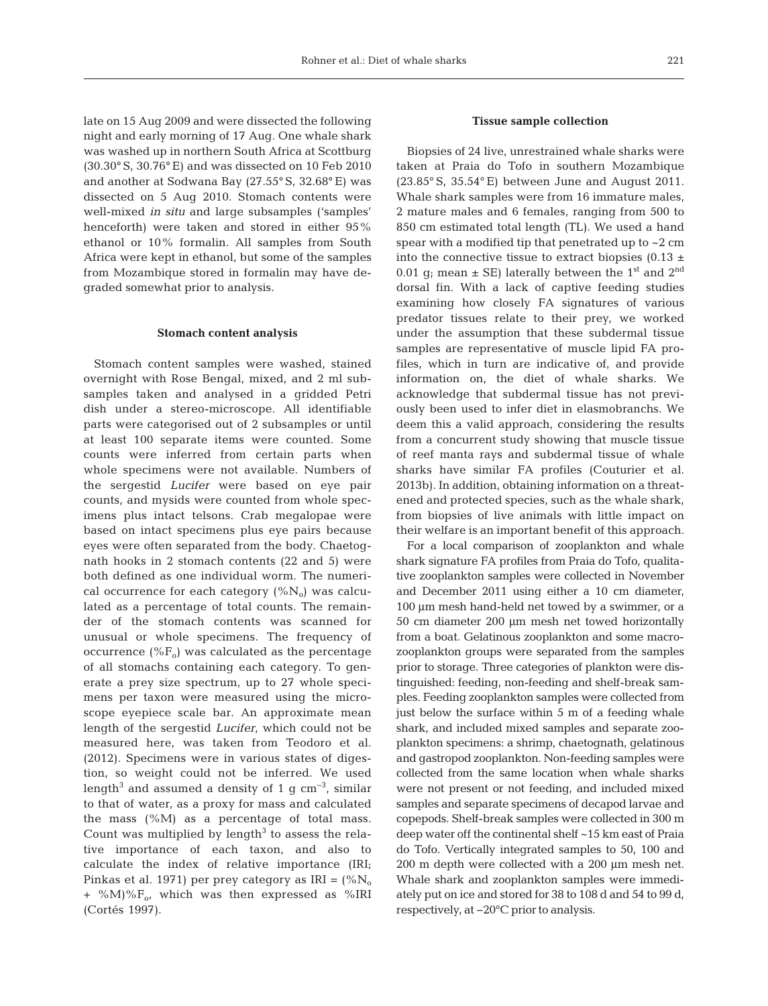late on 15 Aug 2009 and were dissected the following night and early morning of 17 Aug. One whale shark was washed up in northern South Africa at Scottburg (30.30**°** S, 30.76**°**E) and was dissected on 10 Feb 2010 and another at Sodwana Bay (27.55**°** S, 32.68**°**E) was dissected on 5 Aug 2010. Stomach contents were well-mixed *in situ* and large subsamples ('samples' henceforth) were taken and stored in either 95% ethanol or 10% formalin. All samples from South Africa were kept in ethanol, but some of the samples from Mozambique stored in formalin may have de graded somewhat prior to analysis.

#### **Stomach content analysis**

Stomach content samples were washed, stained over night with Rose Bengal, mixed, and 2 ml subsamples taken and analysed in a gridded Petri dish under a stereo-microscope. All identifiable parts were categorised out of 2 subsamples or until at least 100 separate items were counted. Some counts were inferred from certain parts when whole specimens were not available. Numbers of the sergestid *Lucifer* were based on eye pair counts, and mysids were counted from whole specimens plus intact telsons. Crab megalopae were based on intact specimens plus eye pairs because eyes were often separated from the body. Chaetognath hooks in 2 stomach contents (22 and 5) were both defined as one individual worm. The numerical occurrence for each category  $(\%N_0)$  was calculated as a percentage of total counts. The remainder of the stomach contents was scanned for unusual or whole specimens. The frequency of occurrence  $(^{\circ}\!\%F_{o})$  was calculated as the percentage of all stomachs containing each category. To generate a prey size spectrum, up to 27 whole specimens per taxon were measured using the microscope eyepiece scale bar. An approximate mean length of the sergestid *Lucifer*, which could not be measured here, was taken from Teodoro et al. (2012). Specimens were in various states of digestion, so weight could not be inferred. We used length<sup>3</sup> and assumed a density of 1 g cm<sup>-3</sup>, similar to that of water, as a proxy for mass and calculated the mass  $(^{\circ}\!\!/\!\!/_{\rm M})$  as a percentage of total mass. Count was multiplied by length $3$  to assess the relative importance of each taxon, and also to calculate the index of relative importance (IRI; Pinkas et al. 1971) per prey category as  $IRI = (\%N_0)$ + %M)% $F_{0}$ , which was then expressed as %IRI (Cortés 1997).

## **Tissue sample collection**

Biopsies of 24 live, unrestrained whale sharks were taken at Praia do Tofo in southern Mozambique (23.85° S, 35.54° E) between June and August 2011. Whale shark samples were from 16 immature males, 2 mature males and 6 females, ranging from 500 to 850 cm estimated total length (TL). We used a hand spear with a modified tip that penetrated up to ~2 cm into the connective tissue to extract biopsies (0.13  $\pm$ 0.01 g; mean  $\pm$  SE) laterally between the 1<sup>st</sup> and 2<sup>nd</sup> dorsal fin. With a lack of captive feeding studies examining how closely FA signatures of various predator tissues relate to their prey, we worked under the assumption that these subdermal tissue samples are representative of muscle lipid FA profiles, which in turn are indicative of, and provide information on, the diet of whale sharks. We acknowledge that subdermal tissue has not previously been used to infer diet in elasmobranchs. We deem this a valid approach, considering the results from a concurrent study showing that muscle tissue of reef manta rays and subdermal tissue of whale sharks have similar FA profiles (Couturier et al. 2013b). In addition, obtaining information on a threatened and protected species, such as the whale shark, from biopsies of live animals with little impact on their welfare is an important benefit of this approach.

For a local comparison of zooplankton and whale shark signature FA profiles from Praia do Tofo, qualita tive zooplankton samples were collected in November and December 2011 using either a 10 cm diameter, 100 μm mesh hand-held net towed by a swimmer, or a 50 cm diameter 200 μm mesh net towed horizontally from a boat. Gelatinous zooplankton and some macrozooplankton groups were separated from the samples prior to storage. Three categories of plankton were distinguished: feeding, non-feeding and shelf-break samples. Feeding zooplankton samples were collected from just below the surface within 5 m of a feeding whale shark, and included mixed samples and separate zooplankton specimens: a shrimp, chaetognath, gelatinous and gastropod zooplankton. Non-feeding samples were collected from the same location when whale sharks were not present or not feeding, and included mixed samples and separate specimens of decapod larvae and copepods. Shelf-break samples were collected in 300 m deep water off the continental shelf ~15 km east of Praia do Tofo. Vertically integrated samples to 50, 100 and 200 m depth were collected with a 200 μm mesh net. Whale shark and zooplankton samples were immediately put on ice and stored for 38 to 108 d and 54 to 99 d, respectively, at −20°C prior to analysis.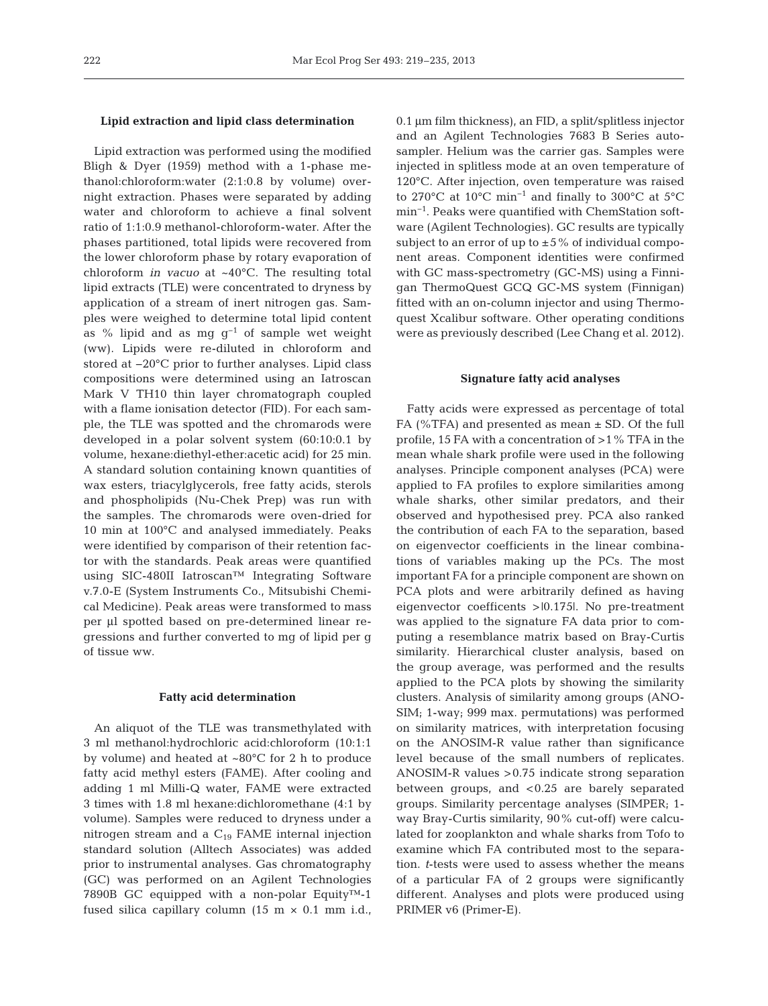#### **Lipid extraction and lipid class determination**

Lipid extraction was performed using the modified Bligh & Dyer (1959) method with a 1-phase me thanol:chloroform:water (2:1:0.8 by volume) over night extraction. Phases were separated by adding water and chloroform to achieve a final solvent ratio of 1:1:0.9 methanol-chloroform-water. After the phases partitioned, total lipids were recovered from the lower chloroform phase by rotary evaporation of chloroform *in vacuo* at ~40°C. The resulting total lipid extracts (TLE) were concentrated to dryness by application of a stream of inert nitrogen gas. Samples were weighed to determine total lipid content as % lipid and as mg  $g^{-1}$  of sample wet weight (ww). Lipids were re-diluted in chloroform and stored at −20°C prior to further analyses. Lipid class compositions were determined using an Iatroscan Mark V TH10 thin layer chromatograph coupled with a flame ionisation detector (FID). For each sample, the TLE was spotted and the chromarods were developed in a polar solvent system (60:10:0.1 by volume, hexane: diethyl-ether:acetic acid) for 25 min. A standard solution containing known quantities of wax esters, triacylglycerols, free fatty acids, sterols and phospholipids (Nu-Chek Prep) was run with the samples. The chromarods were oven-dried for 10 min at 100°C and analysed immediately. Peaks were identified by comparison of their retention factor with the standards. Peak areas were quantified using SIC-480II Iatroscan™ Integrating Software v.7.0-E (System Instruments Co., Mitsubishi Chemical Medicine). Peak areas were transformed to mass per μl spotted based on pre-determined linear re gressions and further converted to mg of lipid per g of tissue ww.

#### **Fatty acid determination**

An aliquot of the TLE was transmethylated with 3 ml methanol:hydrochloric acid:chloroform (10:1:1 by volume) and heated at ~80°C for 2 h to produce fatty acid methyl esters (FAME). After cooling and adding 1 ml Milli-Q water, FAME were extracted 3 times with 1.8 ml hexane:dichloromethane (4:1 by volume). Samples were reduced to dryness under a nitrogen stream and a  $C_{19}$  FAME internal injection standard solution (Alltech Associates) was added prior to instrumental analyses. Gas chromatography (GC) was performed on an Agilent Technologies 7890B GC equipped with a non-polar Equity™-1 fused silica capillary column  $(15 \text{ m} \times 0.1 \text{ mm} \text{ i.d.},$ 

0.1 μm film thickness), an FID, a split/splitless injector and an Agilent Technologies 7683 B Series autosampler. Helium was the carrier gas. Samples were injected in splitless mode at an oven temperature of 120°C. After injection, oven temperature was raised to 270°C at 10°C min−1 and finally to 300°C at 5°C min<sup>-1</sup>. Peaks were quantified with ChemStation software (Agilent Technologies). GC results are typically subject to an error of up to  $\pm 5\%$  of individual component areas. Component identities were confirmed with GC mass-spectrometry (GC-MS) using a Finnigan ThermoQuest GCQ GC-MS system (Finnigan) fitted with an on-column injector and using Thermoquest Xcalibur software. Other operating conditions were as previously described (Lee Chang et al. 2012).

#### **Signature fatty acid analyses**

Fatty acids were expressed as percentage of total FA (%TFA) and presented as mean ± SD. Of the full profile, 15 FA with a concentration of >1% TFA in the mean whale shark profile were used in the following analyses. Principle component analyses (PCA) were applied to FA profiles to explore similarities among whale sharks, other similar predators, and their observed and hypothesised prey. PCA also ranked the contribution of each FA to the separation, based on eigenvector coefficients in the linear combinations of variables making up the PCs. The most important FA for a principle component are shown on PCA plots and were arbitrarily defined as having eigenvector coefficents >|0.175|. No pre-treatment was applied to the signature FA data prior to computing a resemblance matrix based on Bray-Curtis similarity. Hierarchical cluster analysis, based on the group average, was performed and the results applied to the PCA plots by showing the similarity clusters. Analysis of similarity among groups (ANO - SIM; 1-way; 999 max. permutations) was performed on similarity matrices, with interpretation focusing on the ANOSIM-R value rather than significance level because of the small numbers of replicates. ANOSIM-R values >0.75 indicate strong separation between groups, and <0.25 are barely separated groups. Similarity percentage analyses (SIMPER; 1 way Bray-Curtis similarity, 90% cut-off) were calculated for zooplankton and whale sharks from Tofo to examine which FA contributed most to the separation. *t*-tests were used to assess whether the means of a particular FA of 2 groups were significantly different. Analyses and plots were produced using PRIMER v6 (Primer-E).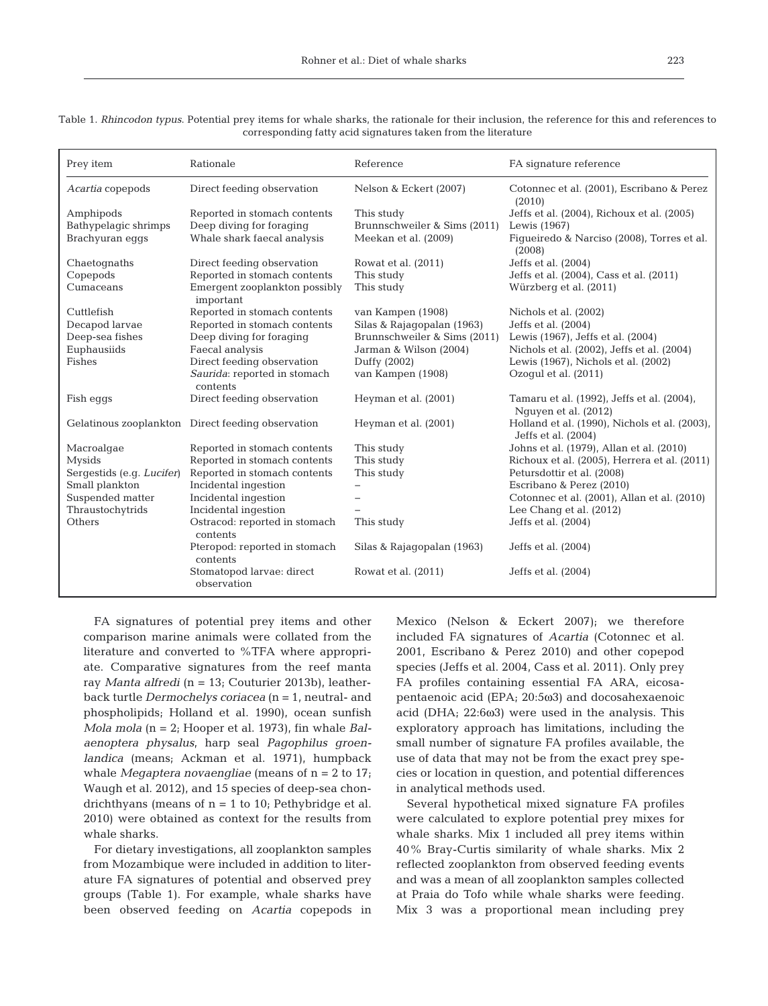| Prey item                 | Rationale                                         | Reference                    | FA signature reference                                               |
|---------------------------|---------------------------------------------------|------------------------------|----------------------------------------------------------------------|
| Acartia copepods          | Direct feeding observation                        | Nelson & Eckert (2007)       | Cotonnec et al. (2001), Escribano & Perez<br>(2010)                  |
| Amphipods                 | Reported in stomach contents                      | This study                   | Jeffs et al. (2004), Richoux et al. (2005)                           |
| Bathypelagic shrimps      | Deep diving for foraging                          | Brunnschweiler & Sims (2011) | Lewis (1967)                                                         |
| Brachyuran eqqs           | Whale shark faecal analysis                       | Meekan et al. (2009)         | Figueiredo & Narciso (2008), Torres et al.<br>(2008)                 |
| Chaetognaths              | Direct feeding observation                        | Rowat et al. (2011)          | Jeffs et al. (2004)                                                  |
| Copepods                  | Reported in stomach contents                      | This study                   | Jeffs et al. (2004), Cass et al. (2011)                              |
| Cumaceans                 | Emergent zooplankton possibly<br>important        | This study                   | Würzberg et al. (2011)                                               |
| Cuttlefish                | Reported in stomach contents                      | van Kampen (1908)            | Nichols et al. (2002)                                                |
| Decapod larvae            | Reported in stomach contents                      | Silas & Rajagopalan (1963)   | Jeffs et al. (2004)                                                  |
| Deep-sea fishes           | Deep diving for foraging                          | Brunnschweiler & Sims (2011) | Lewis (1967), Jeffs et al. (2004)                                    |
| Euphausiids               | Faecal analysis                                   | Jarman & Wilson (2004)       | Nichols et al. (2002), Jeffs et al. (2004)                           |
| Fishes                    | Direct feeding observation                        | Duffy (2002)                 | Lewis (1967), Nichols et al. (2002)                                  |
|                           | Saurida: reported in stomach<br>contents          | van Kampen (1908)            | Ozogul et al. (2011)                                                 |
| Fish eggs                 | Direct feeding observation                        | Heyman et al. (2001)         | Tamaru et al. (1992), Jeffs et al. (2004),<br>Nguyen et al. (2012)   |
|                           | Gelatinous zooplankton Direct feeding observation | Heyman et al. (2001)         | Holland et al. (1990), Nichols et al. (2003),<br>Jeffs et al. (2004) |
| Macroalgae                | Reported in stomach contents                      | This study                   | Johns et al. (1979), Allan et al. (2010)                             |
| <b>Mysids</b>             | Reported in stomach contents                      | This study                   | Richoux et al. (2005), Herrera et al. (2011)                         |
| Sergestids (e.g. Lucifer) | Reported in stomach contents                      | This study                   | Petursdottir et al. (2008)                                           |
| Small plankton            | Incidental ingestion                              | $\overline{\phantom{m}}$     | Escribano & Perez (2010)                                             |
| Suspended matter          | Incidental ingestion                              |                              | Cotonnec et al. (2001), Allan et al. (2010)                          |
| Thraustochytrids          | Incidental ingestion                              |                              | Lee Chang et al. (2012)                                              |
| Others                    | Ostracod: reported in stomach<br>contents         | This study                   | Jeffs et al. (2004)                                                  |
|                           | Pteropod: reported in stomach<br>contents         | Silas & Rajagopalan (1963)   | Jeffs et al. (2004)                                                  |
|                           | Stomatopod larvae: direct<br>observation          | Rowat et al. (2011)          | Jeffs et al. (2004)                                                  |

| Table 1. <i>Rhincodon typus</i> . Potential prey items for whale sharks, the rationale for their inclusion, the reference for this and references to |                                                               |  |
|------------------------------------------------------------------------------------------------------------------------------------------------------|---------------------------------------------------------------|--|
|                                                                                                                                                      | corresponding fatty acid signatures taken from the literature |  |

FA signatures of potential prey items and other comparison marine animals were collated from the literature and converted to %TFA where appropriate. Comparative signatures from the reef manta ray *Manta alfredi* (n = 13; Couturier 2013b), leatherback turtle *Dermochelys coriacea* (n = 1, neutral- and phospholipids; Holland et al. 1990), ocean sunfish *Mola mola* (n = 2; Hooper et al. 1973), fin whale *Balaenoptera physalus*, harp seal *Pagophilus groenlandica* (means; Ackman et al. 1971), humpback whale *Megaptera novaengliae* (means of n = 2 to 17; Waugh et al. 2012), and 15 species of deep-sea chondrichthyans (means of  $n = 1$  to 10; Pethybridge et al. 2010) were obtained as context for the results from whale sharks.

For dietary investigations, all zooplankton samples from Mozambique were included in addition to literature FA signatures of potential and observed prey groups (Table 1). For example, whale sharks have been observed feeding on *Acartia* copepods in Mexico (Nelson & Eckert 2007); we therefore included FA signatures of *Acartia* (Cotonnec et al. 2001, Escribano & Perez 2010) and other copepod species (Jeffs et al. 2004, Cass et al. 2011). Only prey FA profiles containing essential FA ARA, eicosapentaenoic acid (EPA; 20:5ω3) and docosahexaenoic acid (DHA; 22:6ω3) were used in the analysis. This exploratory approach has limitations, including the small number of signature FA profiles available, the use of data that may not be from the exact prey species or location in question, and potential differences in analytical methods used.

Several hypothetical mixed signature FA profiles were calculated to explore potential prey mixes for whale sharks. Mix 1 included all prey items within 40% Bray-Curtis similarity of whale sharks. Mix 2 reflected zooplankton from observed feeding events and was a mean of all zooplankton samples collected at Praia do Tofo while whale sharks were feeding. Mix 3 was a proportional mean including prey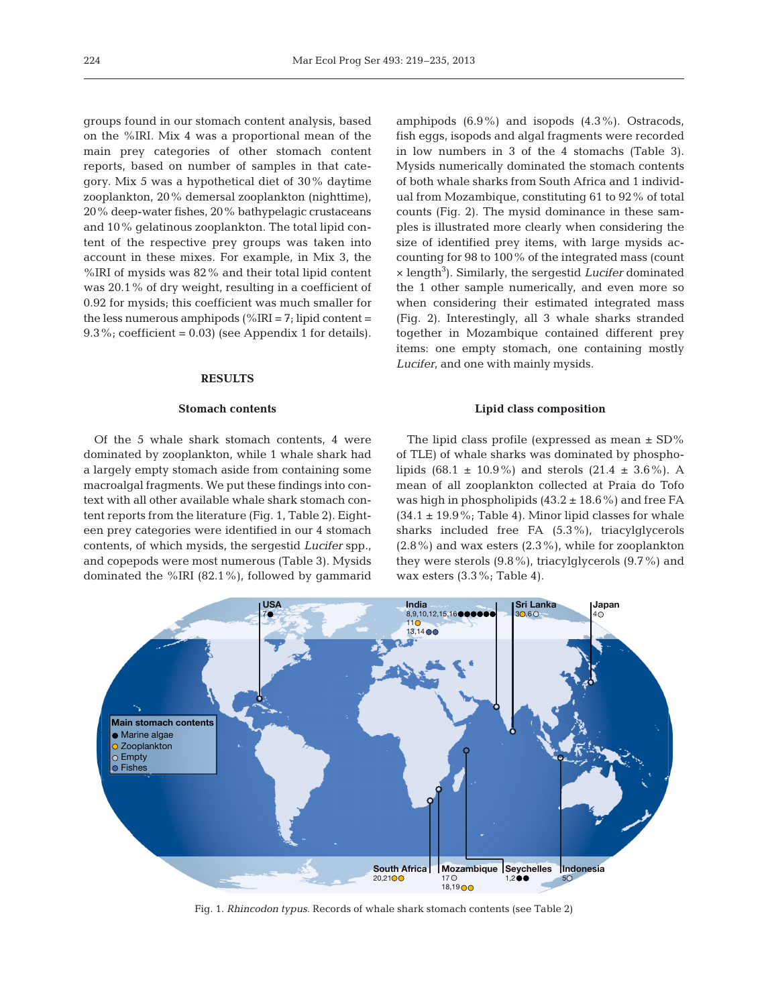groups found in our stomach content analysis, based on the %IRI. Mix 4 was a proportional mean of the main prey categories of other stomach content reports, based on number of samples in that category. Mix 5 was a hypothetical diet of 30% daytime zooplankton, 20% demersal zooplankton (nighttime), 20% deep-water fishes, 20% bathypelagic crustaceans and 10% gelatinous zooplankton. The total lipid content of the respective prey groups was taken into account in these mixes. For example, in Mix 3, the %IRI of mysids was 82% and their total lipid content was 20.1% of dry weight, resulting in a coefficient of 0.92 for mysids; this coefficient was much smaller for the less numerous amphipods (% $IRI = 7$ ; lipid content = 9.3%; coefficient =  $0.03$ ) (see Appendix 1 for details).

## **RESULTS**

## **Stomach contents**

Of the 5 whale shark stomach contents, 4 were dominated by zooplankton, while 1 whale shark had a largely empty stomach aside from containing some macroalgal fragments. We put these findings into context with all other available whale shark stomach content reports from the literature (Fig. 1, Table 2). Eighteen prey categories were identified in our 4 stomach contents, of which mysids, the sergestid *Lucifer* spp., and copepods were most numerous (Table 3). Mysids dominated the %IRI (82.1%), followed by gammarid amphipods  $(6.9\%)$  and isopods  $(4.3\%)$ . Ostracods, fish eggs, isopods and algal fragments were recorded in low numbers in 3 of the 4 stomachs (Table 3). Mysids numerically dominated the stomach contents of both whale sharks from South Africa and 1 individual from Mozambique, constituting 61 to 92% of total counts (Fig. 2). The mysid dominance in these samples is illustrated more clearly when considering the size of identified prey items, with large mysids accounting for 98 to 100% of the integrated mass (count × length3 ). Similarly, the sergestid *Lucifer* dominated the 1 other sample numerically, and even more so when considering their estimated integrated mass (Fig. 2). Interestingly, all 3 whale sharks stranded together in Mozambique contained different prey items: one empty stomach, one containing mostly *Lucifer*, and one with mainly mysids.

#### **Lipid class composition**

The lipid class profile (expressed as mean  $\pm$  SD% of TLE) of whale sharks was dominated by phospholipids (68.1  $\pm$  10.9%) and sterols (21.4  $\pm$  3.6%). A mean of all zooplankton collected at Praia do Tofo was high in phospholipids  $(43.2 \pm 18.6\%)$  and free FA  $(34.1 \pm 19.9\%$ ; Table 4). Minor lipid classes for whale sharks included free FA (5.3%), triacylglycerols  $(2.8\%)$  and wax esters  $(2.3\%)$ , while for zooplankton they were sterols (9.8%), triacylglycerols (9.7%) and wax esters (3.3%; Table 4).



Fig. 1. *Rhincodon typus*. Records of whale shark stomach contents (see Table 2)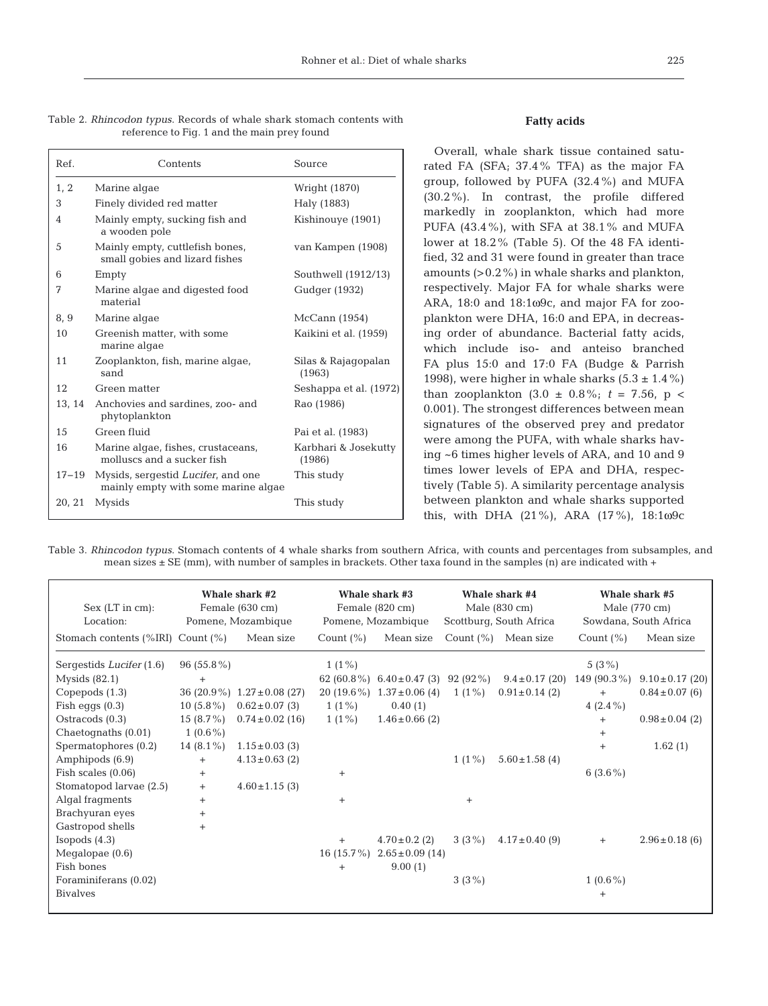|  |  |                                             |  | Table 2. Rhincodon typus. Records of whale shark stomach contents with |  |
|--|--|---------------------------------------------|--|------------------------------------------------------------------------|--|
|  |  | reference to Fig. 1 and the main prey found |  |                                                                        |  |

| Ref.   | Contents                                                                          | Source                         |
|--------|-----------------------------------------------------------------------------------|--------------------------------|
| 1, 2   | Marine algae                                                                      | Wright (1870)                  |
| 3      | Finely divided red matter                                                         | Haly (1883)                    |
| 4      | Mainly empty, sucking fish and<br>a wooden pole                                   | Kishinouye (1901)              |
| 5      | Mainly empty, cuttlefish bones,<br>small gobies and lizard fishes                 | van Kampen (1908)              |
| 6      | Empty                                                                             | Southwell (1912/13)            |
| 7      | Marine algae and digested food<br>material                                        | Gudger (1932)                  |
| 8, 9   | Marine algae                                                                      | McCann (1954)                  |
| 10     | Greenish matter, with some<br>marine algae                                        | Kaikini et al. (1959)          |
| 11     | Zooplankton, fish, marine algae,<br>sand                                          | Silas & Rajagopalan<br>(1963)  |
| 12     | Green matter                                                                      | Seshappa et al. (1972)         |
| 13, 14 | Anchovies and sardines, zoo- and<br>phytoplankton                                 | Rao (1986)                     |
| 15     | Green fluid                                                                       | Pai et al. (1983)              |
| 16     | Marine algae, fishes, crustaceans,<br>molluscs and a sucker fish                  | Karbhari & Josekutty<br>(1986) |
| 17–19  | Mysids, sergestid <i>Lucifer</i> , and one<br>mainly empty with some marine algae | This study                     |
| 20, 21 | Mysids                                                                            | This study                     |

## **Fatty acids**

Overall, whale shark tissue contained saturated FA (SFA; 37.4% TFA) as the major FA group, followed by PUFA (32.4%) and MUFA (30.2%). In contrast, the profile differed markedly in zooplankton, which had more PUFA (43.4%), with SFA at 38.1% and MUFA lower at 18.2% (Table 5). Of the 48 FA identified, 32 and 31 were found in greater than trace amounts  $(>0.2\%)$  in whale sharks and plankton, respectively. Major FA for whale sharks were ARA, 18:0 and 18:1ω9c, and major FA for zooplankton were DHA, 16:0 and EPA, in decreasing order of abundance. Bacterial fatty acids, which include iso- and anteiso branched FA plus 15:0 and 17:0 FA (Budge & Parrish 1998), were higher in whale sharks  $(5.3 \pm 1.4\%)$ than zooplankton  $(3.0 \pm 0.8\%; t = 7.56, p <$ 0.001). The strongest differences between mean signatures of the observed prey and predator were among the PUFA, with whale sharks having ~6 times higher levels of ARA, and 10 and 9 times lower levels of EPA and DHA, respectively (Table 5). A similarity percentage analysis between plankton and whale sharks supported this, with DHA (21%), ARA (17%), 18:1ω9c

Table 3. *Rhincodon typus*. Stomach contents of 4 whale sharks from southern Africa, with counts and percentages from subsamples, and mean sizes  $\pm$  SE (mm), with number of samples in brackets. Other taxa found in the samples (n) are indicated with +

| Sex (LT in cm):<br>Location:            |              | Whale shark #2<br>Female (630 cm)<br>Pomene, Mozambique |               | Whale shark #3<br>Female (820 cm)<br>Pomene, Mozambique |              | Whale shark #4<br>Male $(830 \text{ cm})$<br>Scottburg, South Africa |               | Whale shark #5<br>Male (770 cm)<br>Sowdana, South Africa |
|-----------------------------------------|--------------|---------------------------------------------------------|---------------|---------------------------------------------------------|--------------|----------------------------------------------------------------------|---------------|----------------------------------------------------------|
| Stomach contents $(\%IRI)$ Count $(\%)$ |              | Mean size                                               | Count $(\% )$ | Mean size                                               | Count $(\%)$ | Mean size                                                            | Count $(\% )$ | Mean size                                                |
| Sergestids Lucifer (1.6)                | $96(55.8\%)$ |                                                         | $1(1\%)$      |                                                         |              |                                                                      | 5 $(3\%)$     |                                                          |
| Mysids $(82.1)$                         | $^{+}$       |                                                         | 62 $(60.8\%)$ | $6.40 \pm 0.47$ (3) 92 (92 %)                           |              | $9.4 \pm 0.17$ (20)                                                  | 149 (90.3%)   | $9.10 \pm 0.17$ (20)                                     |
| Copepods $(1.3)$                        |              | 36 (20.9%) $1.27 \pm 0.08$ (27)                         | 20 $(19.6\%)$ | $1.37 \pm 0.06$ (4)                                     | $1(1\%)$     | $0.91 \pm 0.14$ (2)                                                  | $^{+}$        | $0.84 \pm 0.07$ (6)                                      |
| Fish eggs $(0.3)$                       | 10 $(5.8\%)$ | $0.62 \pm 0.07$ (3)                                     | $1(1\%)$      | 0.40(1)                                                 |              |                                                                      | 4 $(2.4\%)$   |                                                          |
| Ostracods $(0.3)$                       | 15 $(8.7\%)$ | $0.74 \pm 0.02$ (16)                                    | $1(1\%)$      | $1.46 \pm 0.66$ (2)                                     |              |                                                                      | $+$           | $0.98 \pm 0.04$ (2)                                      |
| Chaetognaths $(0.01)$                   | $1(0.6\%)$   |                                                         |               |                                                         |              |                                                                      | $+$           |                                                          |
| Spermatophores (0.2)                    | 14 $(8.1\%)$ | $1.15 \pm 0.03$ (3)                                     |               |                                                         |              |                                                                      | $^{+}$        | 1.62(1)                                                  |
| Amphipods (6.9)                         | $^{+}$       | $4.13 \pm 0.63$ (2)                                     |               |                                                         | $1(1\%)$     | $5.60 \pm 1.58$ (4)                                                  |               |                                                          |
| Fish scales $(0.06)$                    | $^{+}$       |                                                         | $+$           |                                                         |              |                                                                      | 6 $(3.6\%)$   |                                                          |
| Stomatopod larvae (2.5)                 | $^{+}$       | $4.60 \pm 1.15$ (3)                                     |               |                                                         |              |                                                                      |               |                                                          |
| Algal fragments                         | $^{+}$       |                                                         | $^{+}$        |                                                         | $^{+}$       |                                                                      |               |                                                          |
| Brachyuran eyes                         | $^{+}$       |                                                         |               |                                                         |              |                                                                      |               |                                                          |
| Gastropod shells                        | $^{+}$       |                                                         |               |                                                         |              |                                                                      |               |                                                          |
| Isopods $(4.3)$                         |              |                                                         | $^{+}$        | $4.70 \pm 0.2$ (2)                                      | 3(3%)        | $4.17 \pm 0.40$ (9)                                                  | $^{+}$        | $2.96 \pm 0.18$ (6)                                      |
| Megalopae $(0.6)$                       |              |                                                         | 16 $(15.7\%)$ | $2.65 \pm 0.09$ (14)                                    |              |                                                                      |               |                                                          |
| Fish bones                              |              |                                                         |               | 9.00(1)                                                 |              |                                                                      |               |                                                          |
| Foraminiferans (0.02)                   |              |                                                         |               |                                                         | $3(3\%)$     |                                                                      | $1(0.6\%)$    |                                                          |
| <b>Bivalves</b>                         |              |                                                         |               |                                                         |              |                                                                      | $^{+}$        |                                                          |
|                                         |              |                                                         |               |                                                         |              |                                                                      |               |                                                          |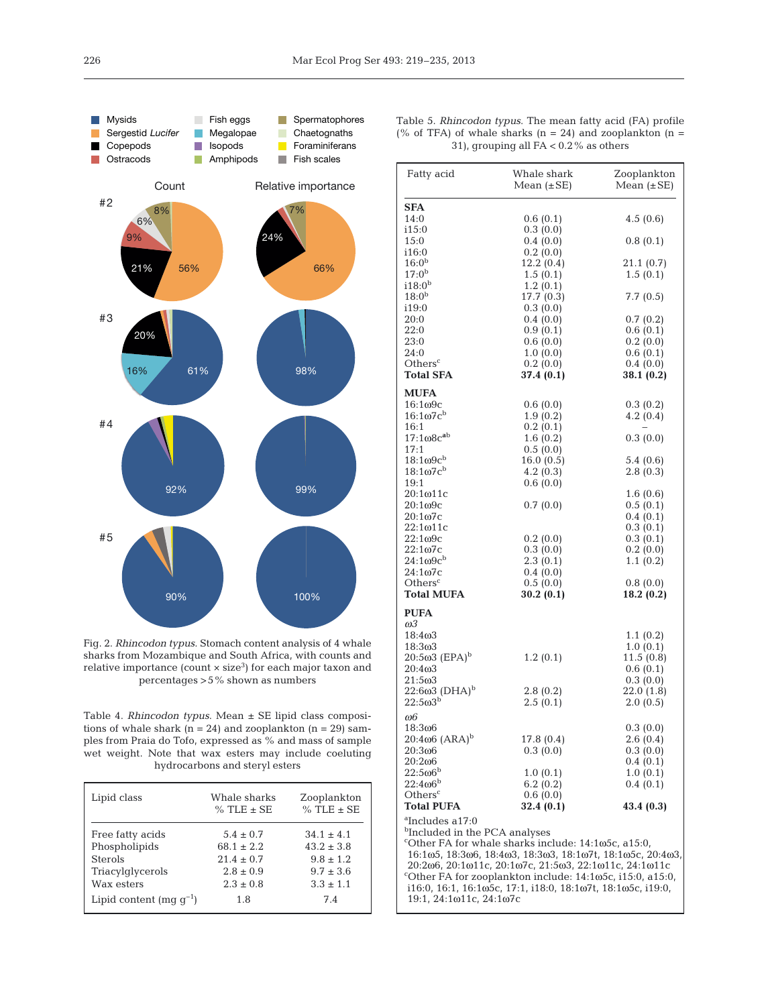

Fig. 2. *Rhincodon typus*. Stomach content analysis of 4 whale sharks from Mozambique and South Africa, with counts and relative importance (count  $\times$  size<sup>3</sup>) for each major taxon and percentages >5% shown as numbers

Table 4. *Rhincodon typus*. Mean ± SE lipid class compositions of whale shark ( $n = 24$ ) and zooplankton ( $n = 29$ ) samples from Praia do Tofo, expressed as % and mass of sample wet weight. Note that wax esters may include coeluting hydrocarbons and steryl esters

| Lipid class                                                                           | Whale sharks<br>$%$ TLE $\pm$ SE                                                  | Zooplankton<br>$%$ TLE $\pm$ SE                                                   |
|---------------------------------------------------------------------------------------|-----------------------------------------------------------------------------------|-----------------------------------------------------------------------------------|
| Free fatty acids<br>Phospholipids<br><b>Sterols</b><br>Triacylglycerols<br>Wax esters | $5.4 \pm 0.7$<br>$68.1 + 2.2$<br>$21.4 \pm 0.7$<br>$2.8 \pm 0.9$<br>$2.3 \pm 0.8$ | $34.1 \pm 4.1$<br>$43.2 + 3.8$<br>$9.8 \pm 1.2$<br>$9.7 \pm 3.6$<br>$3.3 \pm 1.1$ |
| Lipid content (mq $q^{-1}$ )                                                          | 1.8                                                                               | 7.4                                                                               |

Table 5. *Rhincodon typus*. The mean fatty acid (FA) profile (% of TFA) of whale sharks ( $n = 24$ ) and zooplankton ( $n =$ 31), grouping all FA < 0.2% as others

| Fatty acid                                                   | Whale shark                                                  | Zooplankton          |
|--------------------------------------------------------------|--------------------------------------------------------------|----------------------|
|                                                              | Mean $(\pm SE)$                                              | Mean $(\pm SE)$      |
| SFA                                                          |                                                              |                      |
| 14:0                                                         | 0.6(0.1)                                                     | 4.5(0.6)             |
| i15:0                                                        | 0.3(0.0)                                                     |                      |
| 15:0                                                         | 0.4(0.0)                                                     | 0.8(0.1)             |
| i16:0                                                        | 0.2(0.0)                                                     |                      |
| $16:0^{\rm b}$                                               | 12.2(0.4)                                                    | 21.1(0.7)            |
| $17:0^b$                                                     | 1.5(0.1)                                                     | 1.5(0.1)             |
| $i18:0^{\rm b}$                                              | 1.2(0.1)                                                     |                      |
| $18:0^{\rm b}$                                               | 17.7 (0.3)                                                   | 7.7(0.5)             |
| i19:0                                                        | 0.3(0.0)                                                     |                      |
| 20:0                                                         | 0.4(0.0)                                                     | 0.7(0.2)             |
| 22:0                                                         | 0.9(0.1)                                                     | 0.6(0.1)             |
| 23:0                                                         | 0.6(0.0)<br>1.0(0.0)                                         | 0.2(0.0)<br>0.6(0.1) |
| 24:0<br>Others <sup>c</sup>                                  | 0.2(0.0)                                                     | 0.4(0.0)             |
| <b>Total SFA</b>                                             | 37.4 (0.1)                                                   | 38.1 (0.2)           |
|                                                              |                                                              |                      |
| <b>MUFA</b>                                                  |                                                              |                      |
| $16:1\omega$ 9c                                              | 0.6(0.0)                                                     | 0.3(0.2)             |
| $16:1\omega$ 7 $c^b$                                         | 1.9(0.2)                                                     | 4.2(0.4)             |
| 16:1                                                         | 0.2(0.1)                                                     |                      |
| $17:108c^{ab}$                                               | 1.6(0.2)                                                     | 0.3(0.0)             |
| 17:1<br>$18:1\omega$ 9 $c^{\rm b}$                           | 0.5(0.0)                                                     |                      |
| $18:1\omega$ 7 $c^b$                                         | 16.0(0.5)                                                    | 5.4(0.6)             |
|                                                              | 4.2(0.3)                                                     | 2.8(0.3)             |
| 19:1<br>20:1ω11c                                             | 0.6(0.0)                                                     | 1.6(0.6)             |
| $20:1\omega9c$                                               | 0.7(0.0)                                                     | 0.5(0.1)             |
| $20:1\omega$ <sub>7</sub> c                                  |                                                              | 0.4(0.1)             |
| $22:1\omega11c$                                              |                                                              | 0.3(0.1)             |
| $22:1\omega$ 9c                                              | 0.2(0.0)                                                     | 0.3(0.1)             |
| 22:1ω7c                                                      | 0.3(0.0)                                                     | 0.2(0.0)             |
| $24:1\omega$ 9 $c^b$                                         | 2.3(0.1)                                                     | 1.1(0.2)             |
| 24:1ω7c                                                      | 0.4(0.0)                                                     |                      |
| Others <sup>c</sup>                                          | 0.5(0.0)                                                     | 0.8(0.0)             |
| Total MUFA                                                   | 30.2(0.1)                                                    | 18.2(0.2)            |
| <b>PUFA</b>                                                  |                                                              |                      |
| ωЗ                                                           |                                                              |                      |
| 18:403                                                       |                                                              | 1.1(0.2)             |
| $18:3\omega$ 3                                               |                                                              | 1.0(0.1)             |
| $20:5\omega^3$ (EPA) <sup>b</sup>                            | 1.2(0.1)                                                     | 11.5(0.8)            |
| 20:4ω3                                                       |                                                              | 0.6(0.1)             |
| 21:5ω3                                                       |                                                              | 0.3(0.0)             |
| $22:6\omega3$ (DHA) <sup>b</sup>                             | 2.8(0.2)                                                     | 22.0(1.8)            |
| $22:5\omega3^{b}$                                            | 2.5(0.1)                                                     | 2.0(0.5)             |
| ω6                                                           |                                                              |                      |
| 18:3ω6                                                       |                                                              | 0.3(0.0)             |
| $20:4\omega 6$ $(ARA)^{b}$                                   | 17.8 (0.4)                                                   | 2.6(0.4)             |
| 20:3ω6                                                       | 0.3(0.0)                                                     | 0.3(0.0)             |
| 20:2ω6                                                       |                                                              | 0.4(0.1)             |
| $22:5\omega6^b$                                              | 1.0(0.1)                                                     | 1.0(0.1)             |
| $22:406^b$                                                   | 6.2(0.2)                                                     | 0.4(0.1)             |
| Others <sup>c</sup><br><b>Total PUFA</b>                     | 0.6(0.0)<br>32.4 (0.1)                                       | 43.4(0.3)            |
|                                                              |                                                              |                      |
| ªIncludes a17:0<br><sup>b</sup> Included in the PCA analyses |                                                              |                      |
|                                                              | "Other FA for whale sharks include: 14:1 $\omega$ 5c, a15:0, |                      |
|                                                              | 16:1ω5, 18:3ω6, 18:4ω3, 18:3ω3, 18:1ω7t, 18:1ω5c, 20:4ω3,    |                      |
|                                                              | 20:206, 20:1011c, 20:107c, 21:503, 22:1011c, 24:1011c        |                      |
|                                                              | "Other FA for zooplankton include: 14:1ω5c, i15:0, a15:0,    |                      |
|                                                              | i16:0, 16:1, 16:1ω5c, 17:1, i18:0, 18:1ω7t, 18:1ω5c, i19:0,  |                      |
| 19:1, 24:1ω11c, 24:1ω7c                                      |                                                              |                      |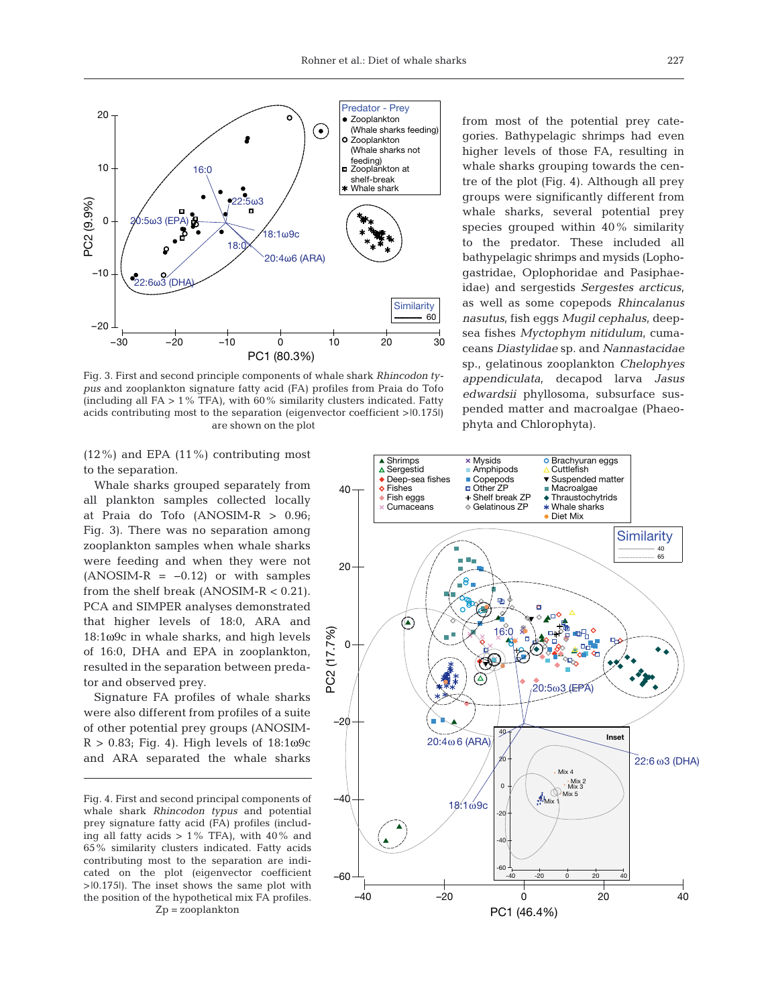

Fig. 3. First and second principle components of whale shark *Rhincodon typus* and zooplankton signature fatty acid (FA) profiles from Praia do Tofo (including all  $FA > 1\%$  TFA), with 60% similarity clusters indicated. Fatty acids contributing most to the separation (eigenvector coefficient >|0.175|) are shown on the plot

(12%) and EPA (11%) contributing most to the separation.

Whale sharks grouped separately from all plankton samples collected locally at Praia do Tofo (ANOSIM-R > 0.96; Fig. 3). There was no separation among zooplankton samples when whale sharks were feeding and when they were not  $(ANSIM-R = -0.12)$  or with samples from the shelf break (ANOSIM-R < 0.21). PCA and SIMPER analyses demonstrated that higher levels of 18:0, ARA and 18:1ω9c in whale sharks, and high levels of 16:0, DHA and EPA in zooplankton, resulted in the separation between predator and observed prey.

Signature FA profiles of whale sharks were also different from profiles of a suite of other potential prey groups (ANOSIM- $R > 0.83$ ; Fig. 4). High levels of  $18:1\omega$ 9c and ARA separated the whale sharks from most of the potential prey categories. Bathypelagic shrimps had even higher levels of those FA, resulting in whale sharks grouping towards the centre of the plot (Fig. 4). Although all prey groups were significantly different from whale sharks, several potential prey species grouped within 40% similarity to the predator. These included all bathypelagic shrimps and mysids (Lophogastridae, Oplophoridae and Pasiphae idae) and sergestids *Sergestes arcticus*, as well as some copepods *Rhincalanus nasutus*, fish eggs *Mugil cepha lus*, deepsea fishes *Myctophym nitidulum*, cuma ceans *Diastylidae* sp. and *Nanna stacidae* sp., gelatinous zooplankton *Chelophyes appendiculata*, decapod larva *Jasus edwardsii* phyllosoma, subsurface suspended matter and macroalgae (Phaeophyta and Chlorophyta).



Fig. 4. First and second principal components of whale shark *Rhincodon typus* and potential prey signature fatty acid (FA) profiles (including all fatty acids  $> 1\%$  TFA), with 40% and 65% similarity clusters indicated. Fatty acids contributing most to the separation are indicated on the plot (eigenvector coefficient >|0.175|). The inset shows the same plot with the position of the hypothetical mix FA profiles. Zp = zooplankton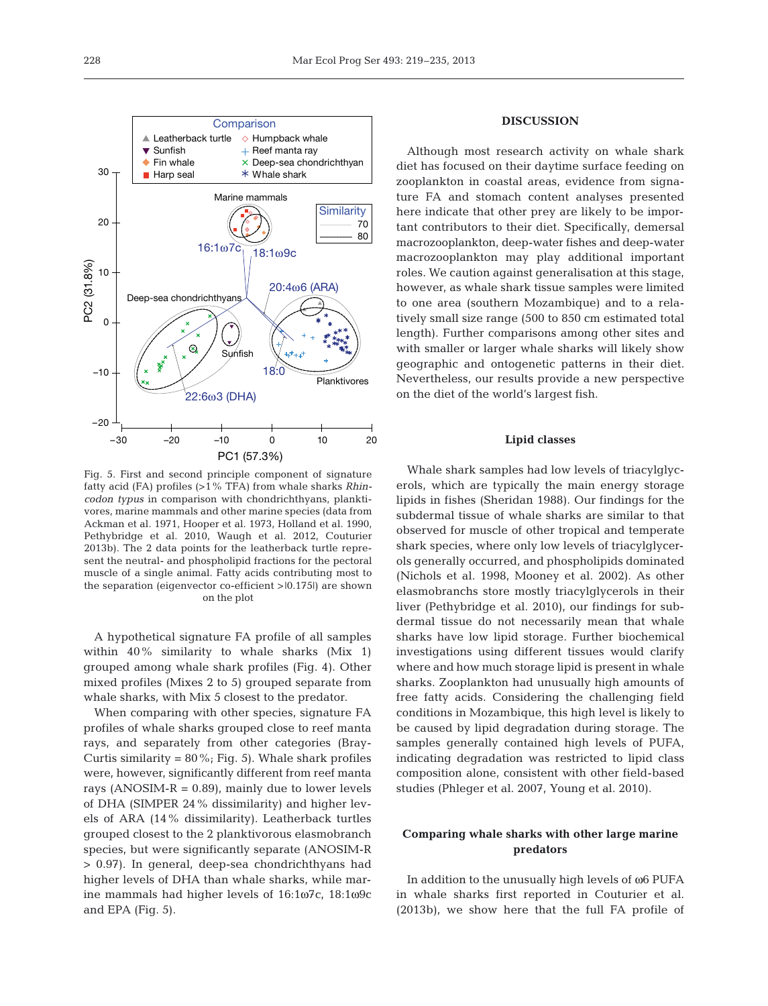

Fig. 5. First and second principle component of signature fatty acid (FA) profiles (>1% TFA) from whale sharks *Rhincodon typus* in comparison with chondrichthyans, planktivores, marine mammals and other marine species (data from Ackman et al. 1971, Hooper et al. 1973, Holland et al. 1990, Pethybridge et al. 2010, Waugh et al. 2012, Couturier 2013b). The 2 data points for the leatherback turtle represent the neutral- and phospholipid fractions for the pectoral muscle of a single animal. Fatty acids contributing most to the separation (eigenvector co-efficient >|0.175|) are shown on the plot

PC1 (57.3%)

A hypothetical signature FA profile of all samples within 40% similarity to whale sharks (Mix 1) grouped among whale shark profiles (Fig. 4). Other mixed profiles (Mixes 2 to 5) grouped separate from whale sharks, with Mix 5 closest to the predator.

When comparing with other species, signature FA profiles of whale sharks grouped close to reef manta rays, and separately from other categories (Bray-Curtis similarity =  $80\%$ ; Fig. 5). Whale shark profiles were, however, significantly different from reef manta rays (ANOSIM-R =  $0.89$ ), mainly due to lower levels of DHA (SIMPER 24% dissimilarity) and higher levels of ARA (14% dissimilarity). Leatherback turtles grouped closest to the 2 planktivorous elasmobranch species, but were significantly separate (ANOSIM-R > 0.97). In general, deep-sea chondrichthyans had higher levels of DHA than whale sharks, while marine mammals had higher levels of 16:1ω7c, 18:1ω9c and EPA (Fig. 5).

# **DISCUSSION**

Although most research activity on whale shark diet has focused on their daytime surface feeding on zooplankton in coastal areas, evidence from signature FA and stomach content analyses presented here indicate that other prey are likely to be important contributors to their diet. Specifically, demersal macrozooplankton, deep-water fishes and deep-water macrozooplankton may play additional important roles. We caution against generalisation at this stage, however, as whale shark tissue samples were limited to one area (southern Mozambique) and to a relatively small size range (500 to 850 cm estimated total length). Further comparisons among other sites and with smaller or larger whale sharks will likely show geographic and ontogenetic patterns in their diet. Nevertheless, our results provide a new perspective on the diet of the world's largest fish.

#### **Lipid classes**

Whale shark samples had low levels of triacylglycerols, which are typically the main energy storage lipids in fishes (Sheridan 1988). Our findings for the subdermal tissue of whale sharks are similar to that observed for muscle of other tropical and temperate shark species, where only low levels of triacylglycerols generally occurred, and phospholipids dominated (Nichols et al. 1998, Mooney et al. 2002). As other elasmobranchs store mostly triacylglycerols in their liver (Pethybridge et al. 2010), our findings for subdermal tissue do not necessarily mean that whale sharks have low lipid storage. Further biochemical investigations using different tissues would clarify where and how much storage lipid is present in whale sharks. Zooplankton had unusually high amounts of free fatty acids. Considering the challenging field conditions in Mozambique, this high level is likely to be caused by lipid degradation during storage. The samples generally contained high levels of PUFA, indicating degradation was restricted to lipid class composition alone, consistent with other field-based studies (Phleger et al. 2007, Young et al. 2010).

# **Comparing whale sharks with other large marine predators**

In addition to the unusually high levels of ω6 PUFA in whale sharks first reported in Couturier et al. (2013b), we show here that the full FA profile of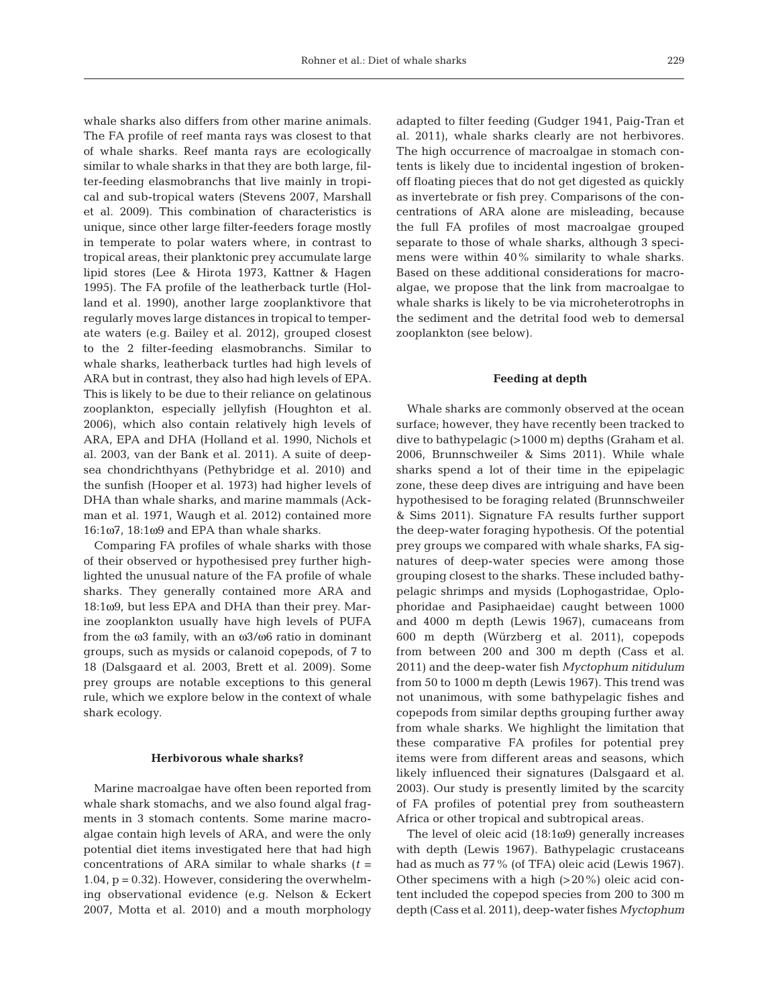whale sharks also differs from other marine animals. The FA profile of reef manta rays was closest to that of whale sharks. Reef manta rays are ecologically similar to whale sharks in that they are both large, filter-feeding elasmobranchs that live mainly in tropical and sub-tropical waters (Stevens 2007, Marshall et al. 2009). This combination of characteristics is unique, since other large filter-feeders forage mostly in temperate to polar waters where, in contrast to tropical areas, their planktonic prey accumulate large lipid stores (Lee & Hirota 1973, Kattner & Hagen 1995). The FA profile of the leatherback turtle (Holland et al. 1990), another large zooplanktivore that regularly moves large distances in tropical to temperate waters (e.g. Bailey et al. 2012), grouped closest to the 2 filter-feeding elasmobranchs. Similar to whale sharks, leatherback turtles had high levels of ARA but in contrast, they also had high levels of EPA. This is likely to be due to their reliance on gelatinous zooplankton, especially jellyfish (Houghton et al. 2006), which also contain relatively high levels of ARA, EPA and DHA (Holland et al. 1990, Nichols et al. 2003, van der Bank et al. 2011). A suite of deepsea chondrichthyans (Pethybridge et al. 2010) and the sunfish (Hooper et al. 1973) had higher levels of DHA than whale sharks, and marine mammals (Ackman et al. 1971, Waugh et al. 2012) contained more 16:1ω7, 18:1ω9 and EPA than whale sharks.

Comparing FA profiles of whale sharks with those of their observed or hypothesised prey further high lighted the unusual nature of the FA profile of whale sharks. They generally contained more ARA and 18:1ω9, but less EPA and DHA than their prey. Marine zooplankton usually have high levels of PUFA from the ω3 family, with an ω3/ω6 ratio in dominant groups, such as mysids or calanoid copepods, of 7 to 18 (Dalsgaard et al. 2003, Brett et al. 2009). Some prey groups are notable exceptions to this general rule, which we explore below in the context of whale shark ecology.

#### **Herbivorous whale sharks?**

Marine macroalgae have often been reported from whale shark stomachs, and we also found algal fragments in 3 stomach contents. Some marine macroalgae contain high levels of ARA, and were the only potential diet items investigated here that had high concentrations of ARA similar to whale sharks  $(t =$ 1.04,  $p = 0.32$ ). However, considering the overwhelming observational evidence (e.g. Nelson & Eckert 2007, Motta et al. 2010) and a mouth morphology adapted to filter feeding (Gudger 1941, Paig-Tran et al. 2011), whale sharks clearly are not herbivores. The high occurrence of macroalgae in stomach contents is likely due to incidental ingestion of brokenoff floating pieces that do not get digested as quickly as invertebrate or fish prey. Comparisons of the concentrations of ARA alone are misleading, because the full FA profiles of most macroalgae grouped separate to those of whale sharks, although 3 specimens were within 40% similarity to whale sharks. Based on these additional considerations for macroalgae, we propose that the link from macroalgae to whale sharks is likely to be via microheterotrophs in the sediment and the detrital food web to demersal zooplankton (see below).

#### **Feeding at depth**

Whale sharks are commonly observed at the ocean surface; however, they have recently been tracked to dive to bathypelagic (>1000 m) depths (Graham et al. 2006, Brunnschweiler & Sims 2011). While whale sharks spend a lot of their time in the epipelagic zone, these deep dives are intriguing and have been hypothesised to be foraging related (Brunnschweiler & Sims 2011). Signature FA results further support the deep-water foraging hypothesis. Of the potential prey groups we compared with whale sharks, FA signatures of deep-water species were among those grouping closest to the sharks. These included bathypelagic shrimps and mysids (Lophogastridae, Oplophoridae and Pasiphaeidae) caught between 1000 and 4000 m depth (Lewis 1967), cumaceans from 600 m depth (Würzberg et al. 2011), copepods from between 200 and 300 m depth (Cass et al. 2011) and the deep-water fish *Myctophum nitidulum* from 50 to 1000 m depth (Lewis 1967). This trend was not unanimous, with some bathypelagic fishes and copepods from similar depths grouping further away from whale sharks. We highlight the limitation that these comparative FA profiles for potential prey items were from different areas and seasons, which likely influenced their signatures (Dalsgaard et al. 2003). Our study is presently limited by the scarcity of FA profiles of potential prey from southeastern Africa or other tropical and subtropical areas.

The level of oleic acid (18:1ω9) generally increases with depth (Lewis 1967). Bathypelagic crustaceans had as much as 77% (of TFA) oleic acid (Lewis 1967). Other specimens with a high  $(>20\%)$  oleic acid content included the copepod species from 200 to 300 m depth (Cass et al. 2011), deep-water fishes *Myctophum*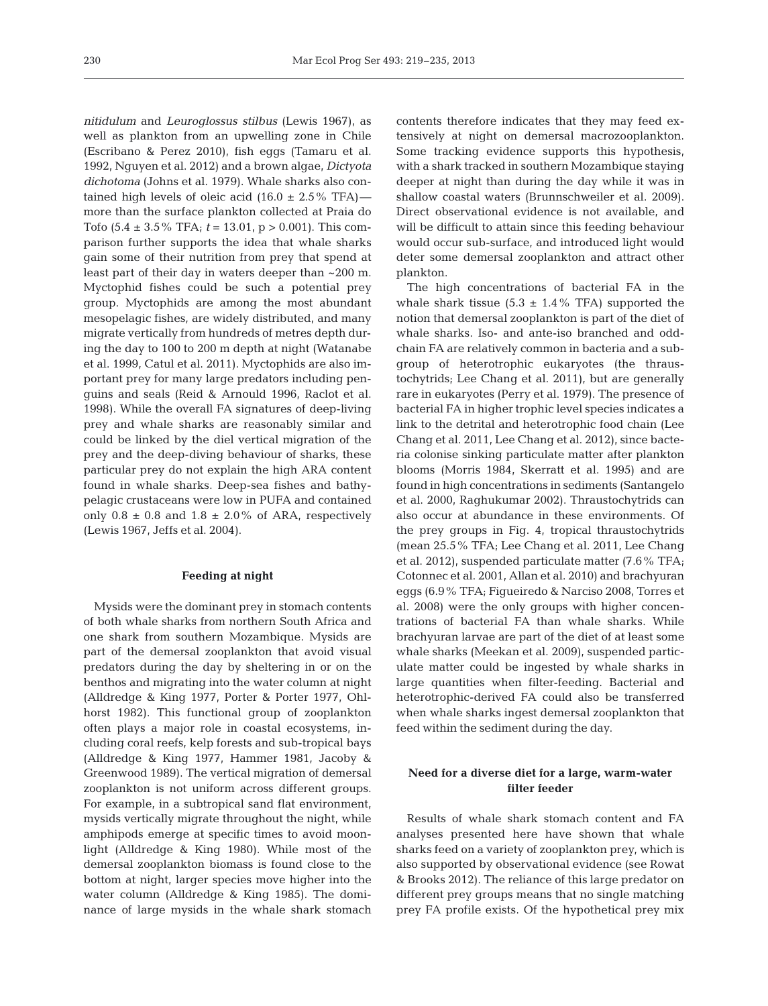*nitidulum* and *Leuroglossus stilbus* (Lewis 1967), as well as plankton from an upwelling zone in Chile (Escribano & Perez 2010), fish eggs (Tamaru et al. 1992, Nguyen et al. 2012) and a brown algae, *Dictyota dichotoma* (Johns et al. 1979). Whale sharks also contained high levels of oleic acid  $(16.0 \pm 2.5\% \text{ TFA})$  more than the surface plankton collected at Praia do Tofo (5.4 ± 3.5% TFA; *t* = 13.01, p > 0.001). This comparison further supports the idea that whale sharks gain some of their nutrition from prey that spend at least part of their day in waters deeper than ~200 m. Myctophid fishes could be such a potential prey group. Myctophids are among the most abundant mesopelagic fishes, are widely distributed, and many migrate vertically from hundreds of metres depth during the day to 100 to 200 m depth at night (Watanabe et al. 1999, Catul et al. 2011). Myctophids are also important prey for many large predators including penguins and seals (Reid & Arnould 1996, Raclot et al. 1998). While the overall FA signatures of deep-living prey and whale sharks are reasonably similar and could be linked by the diel vertical migration of the prey and the deep-diving behaviour of sharks, these particular prey do not explain the high ARA content found in whale sharks. Deep-sea fishes and bathypelagic crustaceans were low in PUFA and contained only  $0.8 \pm 0.8$  and  $1.8 \pm 2.0\%$  of ARA, respectively (Lewis 1967, Jeffs et al. 2004).

## **Feeding at night**

Mysids were the dominant prey in stomach contents of both whale sharks from northern South Africa and one shark from southern Mozambique. Mysids are part of the demersal zooplankton that avoid visual predators during the day by sheltering in or on the benthos and migrating into the water column at night (Alldredge & King 1977, Porter & Porter 1977, Ohlhorst 1982). This functional group of zooplankton often plays a major role in coastal ecosystems, in cluding coral reefs, kelp forests and sub-tropical bays (Alldredge & King 1977, Hammer 1981, Jacoby & Greenwood 1989). The vertical migration of demersal zooplankton is not uniform across different groups. For example, in a subtropical sand flat environment, mysids vertically migrate throughout the night, while amphipods emerge at specific times to avoid moonlight (Alldredge & King 1980). While most of the demersal zooplankton biomass is found close to the bottom at night, larger species move higher into the water column (Alldredge & King 1985). The dominance of large mysids in the whale shark stomach

contents therefore indicates that they may feed extensively at night on demersal macrozooplankton. Some tracking evidence supports this hypothesis, with a shark tracked in southern Mozambique staying deeper at night than during the day while it was in shallow coastal waters (Brunnschweiler et al. 2009). Direct observational evidence is not available, and will be difficult to attain since this feeding behaviour would occur sub-surface, and introduced light would deter some demersal zooplankton and attract other plankton.

The high concentrations of bacterial FA in the whale shark tissue  $(5.3 \pm 1.4\% \text{ TFA})$  supported the notion that demersal zooplankton is part of the diet of whale sharks. Iso- and ante-iso branched and oddchain FA are relatively common in bacteria and a subgroup of heterotrophic eukaryotes (the thraustochytrids; Lee Chang et al. 2011), but are generally rare in eukaryotes (Perry et al. 1979). The presence of bacterial FA in higher trophic level species indicates a link to the detrital and heterotrophic food chain (Lee Chang et al. 2011, Lee Chang et al. 2012), since bacteria colonise sinking particulate matter after plankton blooms (Morris 1984, Skerratt et al. 1995) and are found in high concentrations in sediments (Santangelo et al. 2000, Raghukumar 2002). Thraustochytrids can also occur at abundance in these environments. Of the prey groups in Fig. 4, tropical thraustochytrids (mean 25.5% TFA; Lee Chang et al. 2011, Lee Chang et al. 2012), suspended particulate matter (7.6% TFA; Cotonnec et al. 2001, Allan et al. 2010) and brachyuran eggs (6.9% TFA; Figueiredo & Narciso 2008, Torres et al. 2008) were the only groups with higher concentrations of bacterial FA than whale sharks. While brachyuran larvae are part of the diet of at least some whale sharks (Meekan et al. 2009), suspended particulate matter could be ingested by whale sharks in large quantities when filter-feeding. Bacterial and heterotrophic-derived FA could also be transferred when whale sharks ingest demersal zooplankton that feed within the sediment during the day.

# **Need for a diverse diet for a large, warm-water filter feeder**

Results of whale shark stomach content and FA analyses presented here have shown that whale sharks feed on a variety of zooplankton prey, which is also supported by observational evidence (see Rowat & Brooks 2012). The reliance of this large predator on different prey groups means that no single matching prey FA profile exists. Of the hypothetical prey mix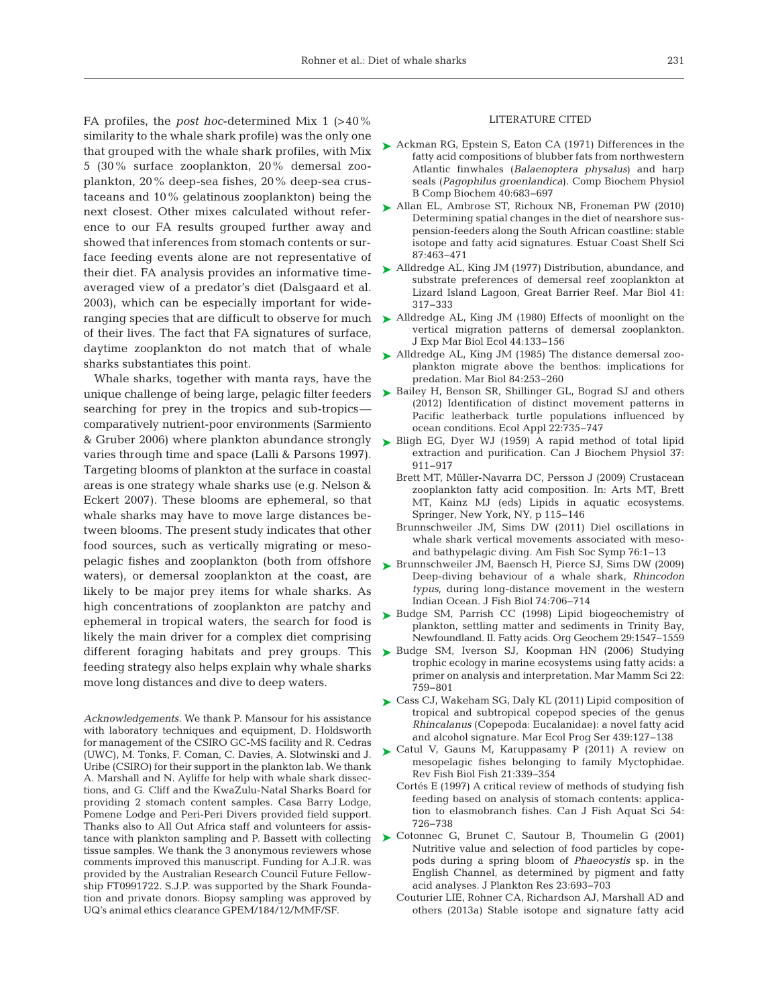FA profiles, the *post hoc*-determined Mix 1 (>40% similarity to the whale shark profile) was the only one that grouped with the whale shark profiles, with Mix 5 (30% surface zooplankton, 20% demersal zooplankton, 20% deep-sea fishes, 20% deep-sea crustaceans and 10% gelatinous zooplankton) being the next closest. Other mixes calculated without reference to our FA results grouped further away and showed that inferences from stomach contents or surface feeding events alone are not representative of their diet. FA analysis provides an informative timeaveraged view of a predator's diet (Dalsgaard et al. 2003), which can be especially important for wideof their lives. The fact that FA signatures of surface, daytime zooplankton do not match that of whale

sharks substantiates this point. Whale sharks, together with manta rays, have the searching for prey in the tropics and sub-tropics comparatively nutrient-poor environments (Sarmiento & Gruber 2006) where plankton abundance strongly varies through time and space (Lalli & Parsons 1997). Targeting blooms of plankton at the surface in coastal areas is one strategy whale sharks use (e.g. Nelson & Eckert 2007). These blooms are ephemeral, so that whale sharks may have to move large distances between blooms. The present study indicates that other food sources, such as vertically migrating or mesopelagic fishes and zooplankton (both from offshore waters), or demersal zooplankton at the coast, are likely to be major prey items for whale sharks. As high concentrations of zooplankton are patchy and ephemeral in tropical waters, the search for food is likely the main driver for a complex diet comprising different foraging habitats and prey groups. This feeding strategy also helps explain why whale sharks move long distances and dive to deep waters.

*Acknowledgements.* We thank P. Mansour for his assistance with laboratory techniques and equipment, D. Holdsworth for management of the CSIRO GC-MS facility and R. Cedras (UWC), M. Tonks, F. Coman, C. Davies, A. Slotwinski and J. Uribe (CSIRO) for their support in the plankton lab. We thank A. Marshall and N. Ayliffe for help with whale shark dissections, and G. Cliff and the KwaZulu-Natal Sharks Board for providing 2 stomach content samples. Casa Barry Lodge, Pomene Lodge and Peri-Peri Divers provided field support. Thanks also to All Out Africa staff and volunteers for assistance with plankton sampling and P. Bassett with collecting tissue samples. We thank the 3 anonymous reviewers whose comments improved this manuscript. Funding for A.J.R. was provided by the Australian Research Council Future Fellowship FT0991722. S.J.P. was supported by the Shark Foundation and private donors. Biopsy sampling was approved by UQ's animal ethics clearance GPEM/184/12/MMF/SF.

#### LITERATURE CITED

- ► [Ackman RG, Epstein S, Eaton CA \(1971\) Differences in the](http://dx.doi.org/10.1016/0305-0491(71)90143-X) fatty acid compositions of blubber fats from northwestern Atlantic finwhales (*Balaenoptera physalus*) and harp seals (*Pagophilus groenlandica*). Comp Biochem Physiol B Comp Biochem 40:683-697
- ► [Allan EL, Ambrose ST, Richoux NB, Froneman PW \(2010\)](http://dx.doi.org/10.1016/j.ecss.2010.02.004) Determining spatial changes in the diet of nearshore suspension-feeders along the South African coastline: stable isotope and fatty acid signatures. Estuar Coast Shelf Sci 87: 463−471
- ► [Alldredge AL, King JM \(1977\) Distribution, abundance, and](http://dx.doi.org/10.1007/BF00389098) substrate preferences of demersal reef zooplankton at Lizard Island Lagoon, Great Barrier Reef. Mar Biol 41: 317−333
- ranging species that are difficult to observe for much  $\blacktriangleright$  [Alldredge AL, King JM \(1980\) Effects of moonlight on the](http://dx.doi.org/10.1016/0022-0981(80)90150-1) vertical migration patterns of demersal zooplankton. J Exp Mar Biol Ecol 44: 133−156
	- ▶ [Alldredge AL, King JM \(1985\) The distance demersal zoo](http://dx.doi.org/10.1007/BF00392494)plankton migrate above the benthos: implications for predation. Mar Biol 84:253-260
- unique challenge of being large, pelagic filter feeders  $\triangleright$  [Bailey H, Benson SR, Shillinger GL, Bograd SJ and others](http://dx.doi.org/10.1890/11-0633) (2012) Identification of distinct movement patterns in Pacific leatherback turtle populations influenced by ocean conditions. Ecol Appl 22:735-747
	- ► [Bligh EG, Dyer WJ \(1959\) A rapid method of total lipid](http://dx.doi.org/10.1139/o59-099) extraction and purification. Can J Biochem Physiol 37: 911−917
		- Brett MT, Müller-Navarra DC, Persson J (2009) Crustacean zooplankton fatty acid composition. In:Arts MT, Brett MT, Kainz MJ (eds) Lipids in aquatic ecosystems. Springer, New York, NY, p 115−146
		- Brunnschweiler JM, Sims DW (2011) Diel oscillations in whale shark vertical movements associated with mesoand bathypelagic diving. Am Fish Soc Symp 76: 1−13
	- ▶ [Brunnschweiler JM, Baensch H, Pierce SJ, Sims DW \(2009\)](http://dx.doi.org/10.1111/j.1095-8649.2008.02155.x) Deep-diving behaviour of a whale shark, *Rhincodon typus*, during long-distance movement in the western Indian Ocean. J Fish Biol 74: 706−714
	- ▶ [Budge SM, Parrish CC \(1998\) Lipid biogeochemistry of](http://dx.doi.org/10.1016/S0146-6380(98)00177-6) plankton, settling matter and sediments in Trinity Bay, Newfoundland. II. Fatty acids. Org Geochem 29:1547-1559
	- ▶ [Budge SM, Iverson SJ, Koopman HN \(2006\) Studying](http://dx.doi.org/10.1111/j.1748-7692.2006.00079.x) trophic ecology in marine ecosystems using fatty acids: a primer on analysis and interpretation. Mar Mamm Sci 22: 759−801
	- ► [Cass CJ, Wakeham SG, Daly KL \(2011\) Lipid composition of](http://dx.doi.org/10.3354/meps09324) tropical and subtropical copepod species of the genus *Rhincalanus* (Copepoda: Eucalanidae): a novel fatty acid and alcohol signature. Mar Ecol Prog Ser 439: 127−138
	- ▶ [Catul V, Gauns M, Karuppasamy P \(2011\) A review on](http://dx.doi.org/10.1007/s11160-010-9176-4) mesopelagic fishes belonging to family Myctophidae. Rev Fish Biol Fish 21: 339−354
		- Cortés E (1997) A critical review of methods of studying fish feeding based on analysis of stomach contents: application to elasmobranch fishes. Can J Fish Aquat Sci 54: 726−738
	- ► [Cotonnec G, Brunet C, Sautour B, Thoumelin G \(2001\)](http://dx.doi.org/10.1007/s11745-013-3829-8) Nutritive value and selection of food particles by copepods during a spring bloom of *Phaeocystis* sp. in the English Channel, as determined by pigment and fatty acid analyses. J Plankton Res 23: 693−703
		- Couturier LIE, Rohner CA, Richardson AJ, Marshall AD and others (2013a) Stable isotope and signature fatty acid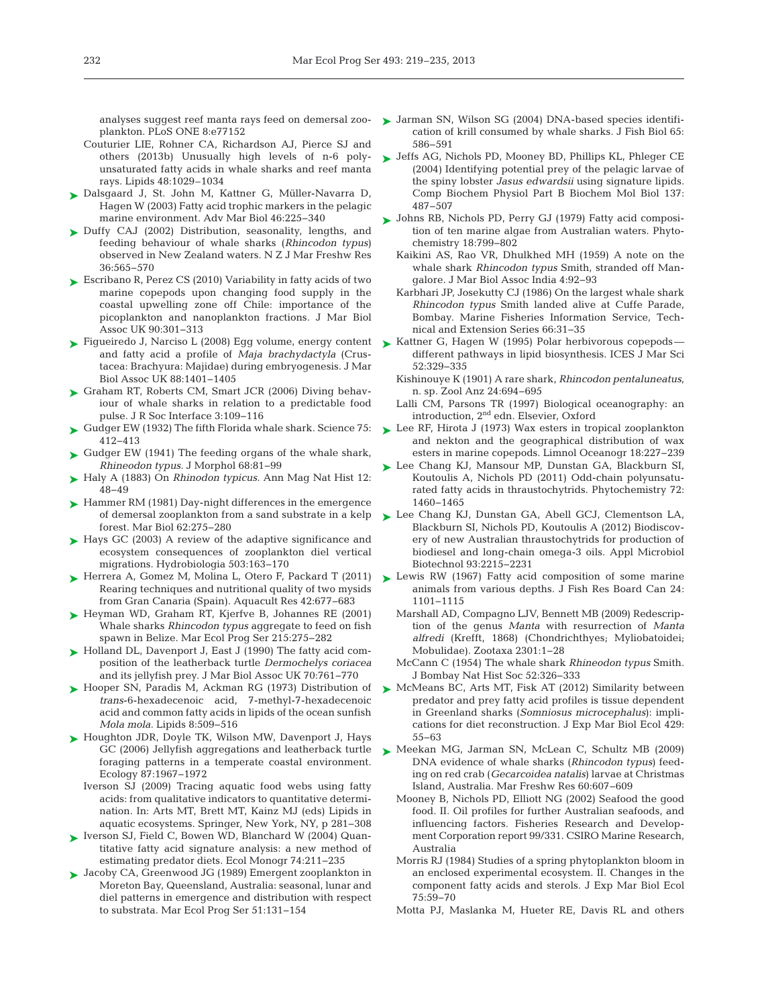plankton. PLoS ONE 8:e77152

- Couturier LIE, Rohner CA, Richardson AJ, Pierce SJ and others (2013b) Unusually high levels of n-6 polyunsaturated fatty acids in whale sharks and reef manta rays. Lipids 48:1029–1034
- [Dalsgaard J, St. John M, Kattner G, Müller-Navarra D,](http://dx.doi.org/10.1016/S0065-2881(03)46005-7) ➤ Hagen W (2003) Fatty acid trophic markers in the pelagic marine environment. Adv Mar Biol 46: 225−340
- ► [Duffy CAJ \(2002\) Distribution, seasonality, lengths, and](http://dx.doi.org/10.1080/00288330.2002.9517112) feeding behaviour of whale sharks (*Rhincodon typus*) observed in New Zealand waters. N Z J Mar Freshw Res 36: 565−570
- [Escribano R, Perez CS \(2010\) Variability in fatty acids of two](http://dx.doi.org/10.1017/S002531540999083X) ➤ marine copepods upon changing food supply in the coastal upwelling zone off Chile: importance of the picoplankton and nanoplankton fractions. J Mar Biol Assoc UK 90:301-313
- ► [Figueiredo J, Narciso L \(2008\) Egg volume, energy content](http://dx.doi.org/10.1017/S0025315408002063) ► Kattner G, Hagen W (1995) Polar herbivorous copepods and fatty acid a profile of *Maja brachydactyla* (Crustacea:Brachyura:Majidae) during embryogenesis. J Mar Biol Assoc UK 88: 1401−1405
- ► [Graham RT, Roberts CM, Smart JCR \(2006\) Diving behav](http://dx.doi.org/10.1098/rsif.2005.0082)iour of whale sharks in relation to a predictable food pulse. J R Soc Interface 3: 109−116
- ► Gudger EW (1932) The fifth Florida whale shark. Science 75: 412−413
- ► [Gudger EW \(1941\) The feeding organs of the whale shark,](http://dx.doi.org/10.1002/jmor.1050680105) *Rhineodon typus.* J Morphol 68:81-99
- ► Haly A (1883) On *Rhinodon typicus*. Ann Mag Nat Hist 12: 48−49
- ► [Hammer RM \(1981\) Day-night differences in the emergence](http://dx.doi.org/10.1007/BF00397694) of demersal zooplankton from a sand substrate in a kelp forest. Mar Biol 62: 275−280
- ► [Hays GC \(2003\) A review of the adaptive significance and](http://dx.doi.org/10.1023/B%3AHYDR.0000008476.23617.b0) ecosystem consequences of zooplankton diel vertical migrations. Hydrobiologia 503: 163−170
- ► [Herrera A, Gomez M, Molina L, Otero F, Packard T \(2011\)](http://dx.doi.org/10.1111/j.1365-2109.2010.02786.x) Rearing techniques and nutritional quality of two mysids from Gran Canaria (Spain). Aquacult Res 42:677-683
- ▶ [Heyman WD, Graham RT, Kjerfve B, Johannes RE \(2001\)](http://dx.doi.org/10.3354/meps215275) Whale sharks *Rhincodon typus* aggregate to feed on fish spawn in Belize. Mar Ecol Prog Ser 215: 275−282
- ► [Holland DL, Davenport J, East J \(1990\) The fatty acid com](http://dx.doi.org/10.1017/S002531540005904X)position of the leatherback turtle *Dermochelys coriacea* and its jellyfish prey. J Mar Biol Assoc UK 70:761-770
- ► [Hooper SN, Paradis M, Ackman RG \(1973\) Distribution of](http://dx.doi.org/10.1007/BF02531986) *trans*-6-hexadecenoic acid, 7-methyl-7-hexadecenoic acid and common fatty acids in lipids of the ocean sunfish *Mola mola.* Lipids 8:509-516
- ► [Houghton JDR, Doyle TK, Wilson MW, Davenport J, Hays](http://dx.doi.org/10.1890/0012-9658(2006)87[1967%3AJAALTF]2.0.CO%3B2) GC (2006) Jellyfish aggregations and leatherback turtle foraging patterns in a temperate coastal environment. Ecology 87: 1967−1972
	- Iverson SJ (2009) Tracing aquatic food webs using fatty acids: from qualitative indicators to quantitative determination. In:Arts MT, Brett MT, Kainz MJ (eds) Lipids in aquatic ecosystems. Springer, New York, NY, p 281−308
- ► [Iverson SJ, Field C, Bowen WD, Blanchard W \(2004\) Quan](http://dx.doi.org/10.1890/02-4105)titative fatty acid signature analysis: a new method of estimating predator diets. Ecol Monogr 74:211-235
- [Jacoby CA, Greenwood JG \(1989\) Emergent zooplankton in](http://dx.doi.org/10.3354/meps051131) ➤ Moreton Bay, Queensland, Australia: seasonal, lunar and diel patterns in emergence and distribution with respect to substrata. Mar Ecol Prog Ser 51: 131−154
- analyses suggest reef manta rays feed on demersal zoo- Sarman SN, Wilson SG (2004) DNA-based species identification of krill consumed by whale sharks. J Fish Biol 65: 586−591
	- ▶ [Jeffs AG, Nichols PD, Mooney BD, Phillips KL, Phleger CE](http://dx.doi.org/10.1016/j.cbpc.2004.02.003) (2004) Identifying potential prey of the pelagic larvae of the spiny lobster *Jasus edwardsii* using signature lipids. Comp Biochem Physiol Part B Biochem Mol Biol 137: 487−507
	- [Johns RB, Nichols PD, Perry GJ \(1979\) Fatty acid composi-](http://dx.doi.org/10.1016/0031-9422(79)80018-7)➤ tion of ten marine algae from Australian waters. Phytochemistry 18: 799−802
		- Kaikini AS, Rao VR, Dhulkhed MH (1959) A note on the whale shark *Rhincodon typus* Smith, stranded off Mangalore. J Mar Biol Assoc India 4: 92−93
		- Karbhari JP, Josekutty CJ (1986) On the largest whale shark *Rhincodon typus* Smith landed alive at Cuffe Parade, Bombay. Marine Fisheries Information Service, Technical and Extension Series 66:31–35
	- different pathways in lipid biosynthesis. ICES J Mar Sci 52: 329−335
	- Kishinouye K (1901) A rare shark, *Rhincodon pentaluneatus*, n. sp. Zool Anz 24: 694−695
	- Lalli CM, Parsons TR (1997) Biological oceanography: an introduction, 2nd edn. Elsevier, Oxford
	- ► [Lee RF, Hirota J \(1973\) Wax esters in tropical zooplankton](http://dx.doi.org/10.4319/lo.1973.18.2.0227) and nekton and the geographical distribution of wax esters in marine copepods. Limnol Oceanogr 18: 227−239
	- [Lee Chang KJ, Mansour MP, Dunstan GA, Blackburn SI,](http://dx.doi.org/10.1016/j.phytochem.2011.04.001) ➤ Koutoulis A, Nichols PD (2011) Odd-chain polyunsaturated fatty acids in thraustochytrids. Phytochemistry 72: 1460−1465
	- [Lee Chang KJ, Dunstan GA, Abell GCJ, Clementson LA,](http://dx.doi.org/10.1007/s00253-011-3856-4) ➤ Blackburn SI, Nichols PD, Koutoulis A (2012) Biodiscovery of new Australian thraustochytrids for production of biodiesel and long-chain omega-3 oils. Appl Microbiol Biotechnol 93: 2215−2231
	- ► [Lewis RW \(1967\) Fatty acid composition of some marine](http://dx.doi.org/10.1139/f67-093) animals from various depths. J Fish Res Board Can 24: 1101−1115
		- Marshall AD, Compagno LJV, Bennett MB (2009) Redescrip tion of the genus *Manta* with resurrection of *Manta alfredi* (Krefft, 1868) (Chondrichthyes; Myliobatoidei; Mobulidae). Zootaxa 2301: 1−28
		- McCann C (1954) The whale shark *Rhineodon typus* Smith. J Bombay Nat Hist Soc 52: 326−333
	- ► [McMeans BC, Arts MT, Fisk AT \(2012\) Similarity between](http://dx.doi.org/10.1016/j.jembe.2012.06.017) predator and prey fatty acid profiles is tissue dependent in Greenland sharks (*Somniosus microcephalus*): implications for diet reconstruction. J Exp Mar Biol Ecol 429: 55−63
	- ▶ [Meekan MG, Jarman SN, McLean C, Schultz MB \(2009\)](http://dx.doi.org/10.1016/j.zool.2009.12.001) DNA evidence of whale sharks (*Rhincodon typus*) feeding on red crab (*Gecarcoidea natalis*) larvae at Christmas Island, Australia. Mar Freshw Res 60: 607−609
		- Mooney B, Nichols PD, Elliott NG (2002) Seafood the good food. II. Oil profiles for further Australian seafoods, and influencing factors. Fisheries Research and Development Corporation report 99/331. CSIRO Marine Research, Australia
		- Morris RJ (1984) Studies of a spring phytoplankton bloom in an enclosed experimental ecosystem. II. Changes in the component fatty acids and sterols. J Exp Mar Biol Ecol 75: 59−70
		- Motta PJ, Maslanka M, Hueter RE, Davis RL and others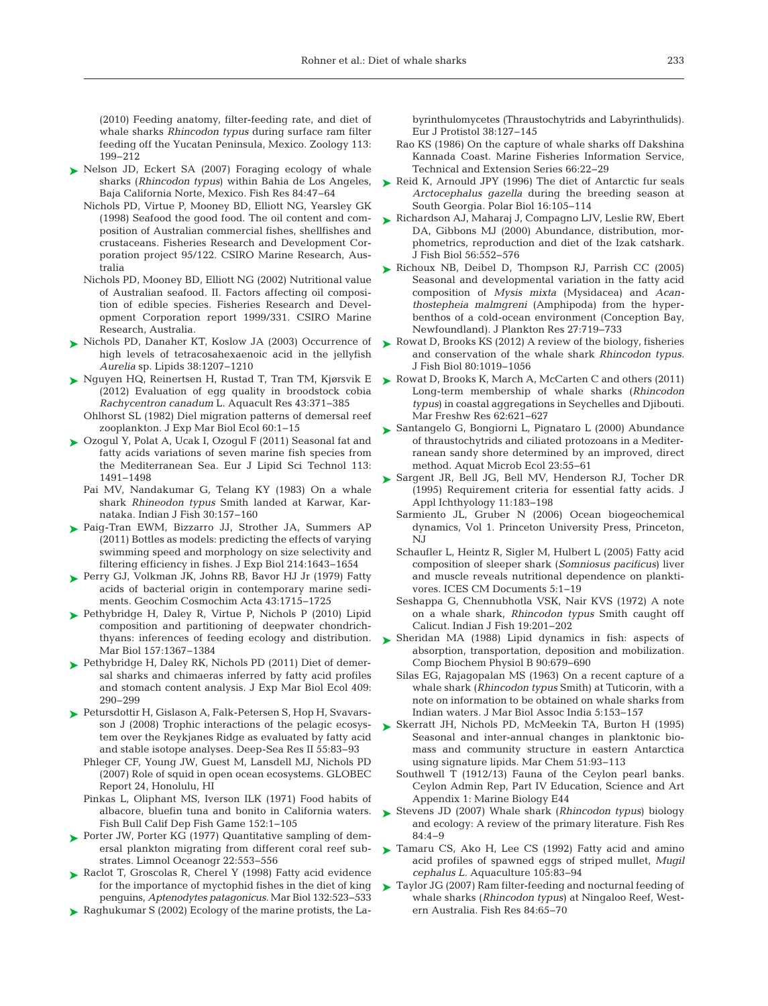(2010) Feeding anatomy, filter-feeding rate, and diet of whale sharks *Rhincodon typus* during surface ram filter feeding off the Yucatan Peninsula, Mexico. Zoology 113: 199−212

- ► [Nelson JD, Eckert SA \(2007\) Foraging ecology of whale](http://dx.doi.org/10.1016/j.fishres.2006.11.013) sharks (*Rhincodon typus*) within Bahia de Los Angeles, Baja California Norte, Mexico. Fish Res 84:47-64
	- Nichols PD, Virtue P, Mooney BD, Elliott NG, Yearsley GK (1998) Seafood the good food. The oil content and composition of Australian commercial fishes, shellfishes and crustaceans. Fisheries Research and Development Corporation project 95/122. CSIRO Marine Research, Australia
	- Nichols PD, Mooney BD, Elliott NG (2002) Nutritional value of Australian seafood. II. Factors affecting oil composition of edible species. Fisheries Research and Development Corporation report 1999/331. CSIRO Marine Research, Australia.
- ▶ [Nichols PD, Danaher KT, Koslow JA \(2003\) Occurrence of](http://dx.doi.org/10.1007/s11745-003-1180-z) high levels of tetracosahexaenoic acid in the jellyfish *Aurelia* sp. Lipids 38: 1207−1210
- ► [Nguyen HQ, Reinertsen H, Rustad T, Tran TM, Kjørsvik E](http://dx.doi.org/10.1111/j.1365-2109.2011.02840.x) (2012) Evaluation of egg quality in broodstock cobia *Rachycentron canadum* L. Aquacult Res 43: 371−385
- Ohlhorst SL (1982) Diel migration patterns of demersal reef zooplankton. J Exp Mar Biol Ecol 60: 1−15
- [Ozogul Y, Polat A, Ucak I, Ozogul F \(2011\) Seasonal fat and](http://dx.doi.org/10.1002/ejlt.201000554) ➤ fatty acids variations of seven marine fish species from the Mediterranean Sea. Eur J Lipid Sci Technol 113: 1491−1498
	- Pai MV, Nandakumar G, Telang KY (1983) On a whale shark *Rhineodon typus* Smith landed at Karwar, Karnataka. Indian J Fish 30: 157−160
- ▶ [Paig-Tran EWM, Bizzarro JJ, Strother JA, Summers AP](http://dx.doi.org/10.1242/jeb.048702) (2011) Bottles as models: predicting the effects of varying swimming speed and morphology on size selectivity and filtering efficiency in fishes. J Exp Biol 214: 1643−1654
- [Perry GJ, Volkman JK, Johns RB, Bavor HJ Jr \(1979\) Fatty](http://dx.doi.org/10.1016/0016-7037(79)90020-6) ➤ acids of bacterial origin in contemporary marine sediments. Geochim Cosmochim Acta 43: 1715−1725
- ▶ [Pethybridge H, Daley R, Virtue P, Nichols P \(2010\) Lipid](http://dx.doi.org/10.1007/s00227-010-1416-6) composition and partitioning of deepwater chondrichthyans: inferences of feeding ecology and distribution. Mar Biol 157: 1367−1384
- ▶ [Pethybridge H, Daley RK, Nichols PD \(2011\) Diet of demer](http://dx.doi.org/10.1016/j.jembe.2011.09.009)sal sharks and chimaeras inferred by fatty acid profiles and stomach content analysis. J Exp Mar Biol Ecol 409: 290−299
- ▶ [Petursdottir H, Gislason A, Falk-Petersen S, Hop H, Svavars](http://dx.doi.org/10.1016/j.dsr2.2007.09.003)son J (2008) Trophic interactions of the pelagic ecosystem over the Reykjanes Ridge as evaluated by fatty acid and stable isotope analyses. Deep-Sea Res II 55:83–93
	- Phleger CF, Young JW, Guest M, Lansdell MJ, Nichols PD (2007) Role of squid in open ocean ecosystems. GLOBEC Report 24, Honolulu, HI
	- Pinkas L, Oliphant MS, Iverson ILK (1971) Food habits of albacore, bluefin tuna and bonito in California waters. Fish Bull Calif Dep Fish Game 152: 1−105
- ▶ [Porter JW, Porter KG \(1977\) Quantitative sampling of dem](http://dx.doi.org/10.4319/lo.1977.22.3.0553)ersal plankton migrating from different coral reef substrates. Limnol Oceanogr 22: 553−556
- ▶ [Raclot T, Groscolas R, Cherel Y \(1998\) Fatty acid evidence](http://dx.doi.org/10.1007/s002270050418) for the importance of myctophid fishes in the diet of king penguins, *Aptenodytes patagonicus.* Mar Biol 132:523-533
- ▶ Raghukumar S (2002) Ecology of the marine protists, the La-

byrinthulomycetes (Thraustochytrids and Labyrinthulids). Eur J Protistol 38: 127−145

- Rao KS (1986) On the capture of whale sharks off Dakshina Kannada Coast. Marine Fisheries Information Service, Technical and Extension Series 66: 22−29
- ► [Reid K, Arnould JPY \(1996\) The diet of Antarctic fur seals](http://dx.doi.org/10.1007/BF02390431) *Arctocephalus gazella* during the breeding season at South Georgia. Polar Biol 16: 105−114
- ► [Richardson AJ, Maharaj J, Compagno LJV, Leslie RW, Ebert](http://dx.doi.org/10.1111/j.1095-8649.2000.tb00755.x) DA, Gibbons MJ (2000) Abundance, distribution, morphometrics, reproduction and diet of the Izak catshark. J Fish Biol 56: 552−576
- ▶ [Richoux NB, Deibel D, Thompson RJ, Parrish CC \(2005\)](http://dx.doi.org/10.1093/plankt/fbi045) Seasonal and developmental variation in the fatty acid composition of *Mysis mixta* (Mysidacea) and *Acanthostepheia malmgreni* (Amphipoda) from the hyperbenthos of a cold-ocean environment (Conception Bay, Newfoundland). J Plankton Res 27:719-733
- ► [Rowat D, Brooks KS \(2012\) A review of the biology, fisheries](http://dx.doi.org/10.1111/j.1095-8649.2012.03252.x) and conservation of the whale shark *Rhincodon typus.* J Fish Biol 80: 1019−1056
- ► [Rowat D, Brooks K, March A, McCarten C and others \(2011\)](http://dx.doi.org/10.1071/MF10135) Long-term membership of whale sharks (*Rhincodon typus*) in coastal aggregations in Seychelles and Djibouti. Mar Freshw Res 62:621–627
- [Santangelo G, Bongiorni L, Pignataro L \(2000\) Abundance](http://dx.doi.org/10.3354/ame023055) ➤ of thraustochytrids and ciliated protozoans in a Mediterranean sandy shore determined by an improved, direct method. Aquat Microb Ecol 23:55-61
- [Sargent JR, Bell JG, Bell MV, Henderson RJ, Tocher DR](http://dx.doi.org/10.1111/j.1439-0426.1995.tb00018.x) ➤ (1995) Requirement criteria for essential fatty acids. J Appl Ichthyology 11: 183−198
	- Sarmiento JL, Gruber N (2006) Ocean biogeochemical dynamics, Vol 1. Princeton University Press, Princeton, NJ
	- Schaufler L, Heintz R, Sigler M, Hulbert L (2005) Fatty acid composition of sleeper shark (*Somniosus pacificus*) liver and muscle reveals nutritional dependence on planktivores. ICES CM Documents 5: 1−19
	- Seshappa G, Chennubhotla VSK, Nair KVS (1972) A note on a whale shark, *Rhincodon typus* Smith caught off Calicut. Indian J Fish 19:201-202
- ▶ Sheridan MA (1988) Lipid dynamics in fish: aspects of absorption, transportation, deposition and mobilization. Comp Biochem Physiol B 90:679-690
	- Silas EG, Rajagopalan MS (1963) On a recent capture of a whale shark (*Rhincodon typus* Smith) at Tuticorin, with a note on information to be obtained on whale sharks from Indian waters. J Mar Biol Assoc India 5: 153−157
- [Skerratt JH, Nichols PD, McMeekin TA, Burton H \(1995\)](http://dx.doi.org/10.1016/0304-4203(95)00047-U) ➤ Seasonal and inter-annual changes in planktonic biomass and community structure in eastern Antarctica using signature lipids. Mar Chem 51:93-113
	- Southwell T (1912/13) Fauna of the Ceylon pearl banks. Ceylon Admin Rep, Part IV Education, Science and Art Appendix 1: Marine Biology E44
- ► [Stevens JD \(2007\) Whale shark \(](http://dx.doi.org/10.1016/j.fishres.2006.11.008)*Rhincodon typus*) biology and ecology: A review of the primary literature. Fish Res  $84:4-9$
- ▶ [Tamaru CS, Ako H, Lee CS \(1992\) Fatty acid and amino](http://dx.doi.org/10.1016/0044-8486(92)90164-G) acid profiles of spawned eggs of striped mullet, *Mugil cephalus L.* Aquaculture 105:83-94
- [Taylor JG \(2007\) Ram filter-feeding and nocturnal feeding of](http://dx.doi.org/10.1016/j.fishres.2006.11.014) ➤whale sharks (*Rhincodon typus*) at Ningaloo Reef, Western Australia. Fish Res 84:65-70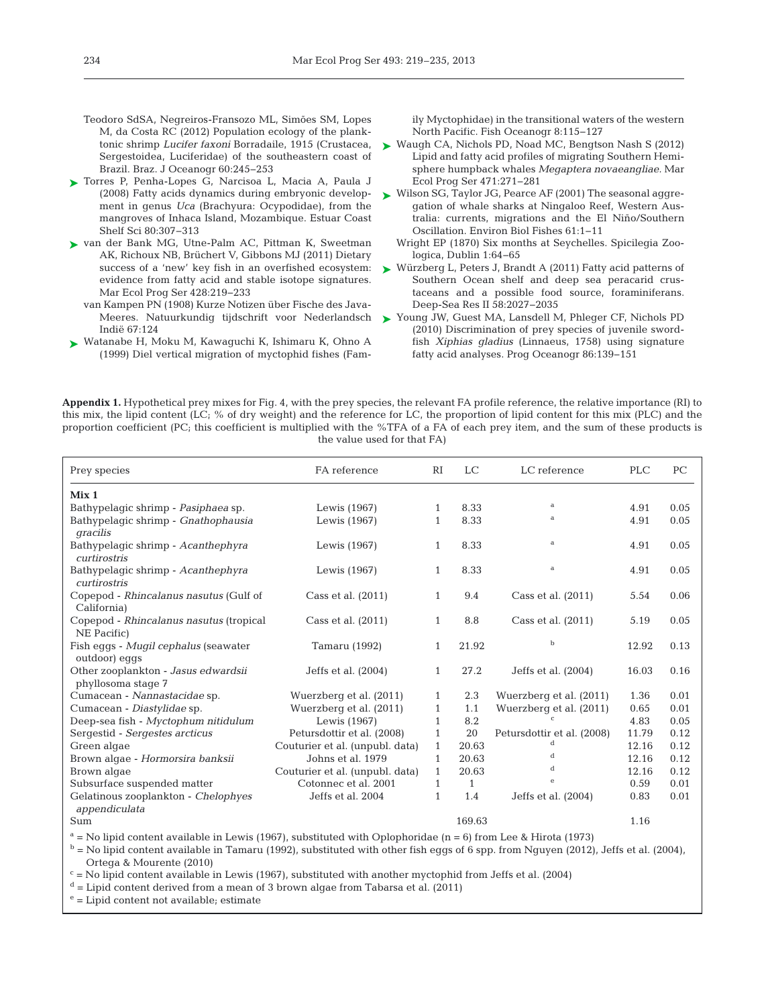- Teodoro SdSA, Negreiros-Fransozo ML, Simões SM, Lopes M, da Costa RC (2012) Population ecology of the planktonic shrimp *Lucifer faxoni* Borradaile, 1915 (Crustacea, Sergestoidea, Luciferidae) of the southeastern coast of Brazil. Braz. J Oceanogr 60:245-253
- [Torres P, Penha-Lopes G, Narcisoa L, Macia A, Paula J](http://dx.doi.org/10.1016/j.ecss.2008.07.018) ➤ (2008) Fatty acids dynamics during embryonic development in genus *Uca* (Brachyura: Ocypodidae), from the mangroves of Inhaca Island, Mozambique. Estuar Coast Shelf Sci 80:307-313
- [van der Bank MG, Utne-Palm AC, Pittman K, Sweetman](http://dx.doi.org/10.3354/meps09078) ➤ AK, Richoux NB, Brüchert V, Gibbons MJ (2011) Dietary evidence from fatty acid and stable isotope signatures. Mar Ecol Prog Ser 428:219-233
	- van Kampen PN (1908) Kurze Notizen über Fische des Java-Indië 67: 124
- [Watanabe H, Moku M, Kawaguchi K, Ishimaru K, Ohno A](http://dx.doi.org/10.1046/j.1365-2419.1999.00103.x) ➤ (1999) Diel vertical migration of myctophid fishes (Fam-

ily Myctophidae) in the transitional waters of the western North Pacific. Fish Oceanogr 8: 115−127

- [Waugh CA, Nichols PD, Noad MC, Bengtson Nash S \(2012\)](http://dx.doi.org/10.3354/meps10059) ➤ Lipid and fatty acid profiles of migrating Southern Hemisphere humpback whales *Megaptera novaeangliae.* Mar Ecol Prog Ser 471:271-281
- [Wilson SG, Taylor JG, Pearce AF \(2001\) The seasonal aggre-](http://dx.doi.org/10.1023/A%3A1011069914753)➤ gation of whale sharks at Ningaloo Reef, Western Australia: currents, migrations and the El Niño/Southern Oscillation. Environ Biol Fishes 61: 1−11
	- Wright EP (1870) Six months at Seychelles. Spicilegia Zoologica, Dublin 1:64-65
- success of a 'new' key fish in an overfished ecosystem:  $\searrow$  [Würzberg L, Peters J, Brandt A \(2011\) Fatty acid patterns of](http://dx.doi.org/10.1016/j.dsr2.2011.05.013) Southern Ocean shelf and deep sea peracarid crustaceans and a possible food source, foraminiferans. Deep-Sea Res II 58:2027-2035
- Meeres. Natuurkundig tijdschrift voor Nederlandsch [Young JW, Guest MA, Lansdell M, Phleger CF, Nichols PD](http://dx.doi.org/10.1016/j.pocean.2010.04.028) ➤(2010) Discrimination of prey species of juvenile swordfish *Xiphias gladius* (Linnaeus, 1758) using signature fatty acid analyses. Prog Oceanogr 86: 139−151

**Appendix 1.** Hypothetical prey mixes for Fig. 4, with the prey species, the relevant FA profile reference, the relative importance (RI) to this mix, the lipid content (LC; % of dry weight) and the reference for LC, the proportion of lipid content for this mix (PLC) and the proportion coefficient (PC; this coefficient is multiplied with the %TFA of a FA of each prey item, and the sum of these products is the value used for that FA)

| Prey species                                              | FA reference                    | <b>RI</b>    | <b>LC</b>    | LC reference               | <b>PLC</b> | PC   |
|-----------------------------------------------------------|---------------------------------|--------------|--------------|----------------------------|------------|------|
| Mix <sub>1</sub>                                          |                                 |              |              |                            |            |      |
| Bathypelagic shrimp - Pasiphaea sp.                       | Lewis (1967)                    | $\mathbf{1}$ | 8.33         | a                          | 4.91       | 0.05 |
| Bathypelagic shrimp - Gnathophausia<br>gracilis           | Lewis (1967)                    | 1            | 8.33         | a                          | 4.91       | 0.05 |
| Bathypelagic shrimp - Acanthephyra<br>curtirostris        | Lewis (1967)                    | $\mathbf{1}$ | 8.33         | a                          | 4.91       | 0.05 |
| Bathypelagic shrimp - Acanthephyra<br>curtirostris        | Lewis (1967)                    | $\mathbf{1}$ | 8.33         | a                          | 4.91       | 0.05 |
| Copepod - Rhincalanus nasutus (Gulf of<br>California)     | Cass et al. $(2011)$            | $\mathbf{1}$ | 9.4          | Cass et al. $(2011)$       | 5.54       | 0.06 |
| Copepod - Rhincalanus nasutus (tropical<br>NE Pacific)    | Cass et al. $(2011)$            | $\mathbf{1}$ | 8.8          | Cass et al. (2011)         | 5.19       | 0.05 |
| Fish eqqs - Muqil cephalus (seawater<br>outdoor) eqqs     | Tamaru (1992)                   | $\mathbf{1}$ | 21.92        | $\mathbf b$                | 12.92      | 0.13 |
| Other zooplankton - Jasus edwardsii<br>phyllosoma stage 7 | Jeffs et al. (2004)             | $\mathbf{1}$ | 27.2         | Jeffs et al. (2004)        | 16.03      | 0.16 |
| Cumacean - Nannastacidae sp.                              | Wuerzberg et al. (2011)         | 1            | 2.3          | Wuerzberg et al. (2011)    | 1.36       | 0.01 |
| Cumacean - Diastylidae sp.                                | Wuerzberg et al. (2011)         | $\mathbf{1}$ | 1.1          | Wuerzberg et al. (2011)    | 0.65       | 0.01 |
| Deep-sea fish - Myctophum nitidulum                       | Lewis (1967)                    | 1            | 8.2          |                            | 4.83       | 0.05 |
| Sergestid - Sergestes arcticus                            | Petursdottir et al. (2008)      | $\mathbf{1}$ | 20           | Petursdottir et al. (2008) | 11.79      | 0.12 |
| Green algae                                               | Couturier et al. (unpubl. data) | $\mathbf{1}$ | 20.63        | d                          | 12.16      | 0.12 |
| Brown algae - Hormorsira banksii                          | Johns et al. 1979               | $\mathbf{1}$ | 20.63        | d                          | 12.16      | 0.12 |
| Brown algae                                               | Couturier et al. (unpubl. data) | $\mathbf{1}$ | 20.63        | d                          | 12.16      | 0.12 |
| Subsurface suspended matter                               | Cotonnec et al. 2001            | 1            | $\mathbf{1}$ | $\epsilon$                 | 0.59       | 0.01 |
| Gelatinous zooplankton - Chelophyes<br>appendiculata      | Jeffs et al. 2004               | $\mathbf{1}$ | 1.4          | Jeffs et al. (2004)        | 0.83       | 0.01 |
| Sum                                                       |                                 |              | 169.63       |                            | 1.16       |      |

 $a = No$  lipid content available in Lewis (1967), substituted with Oplophoridae (n = 6) from Lee & Hirota (1973)

 $b = No$  lipid content available in Tamaru (1992), substituted with other fish eggs of 6 spp. from Nguyen (2012), Jeffs et al. (2004), Ortega & Mourente (2010)

 $c =$  No lipid content available in Lewis (1967), substituted with another myctophid from Jeffs et al. (2004)

 $d =$  Lipid content derived from a mean of 3 brown algae from Tabarsa et al. (2011)

 $e =$  Lipid content not available; estimate